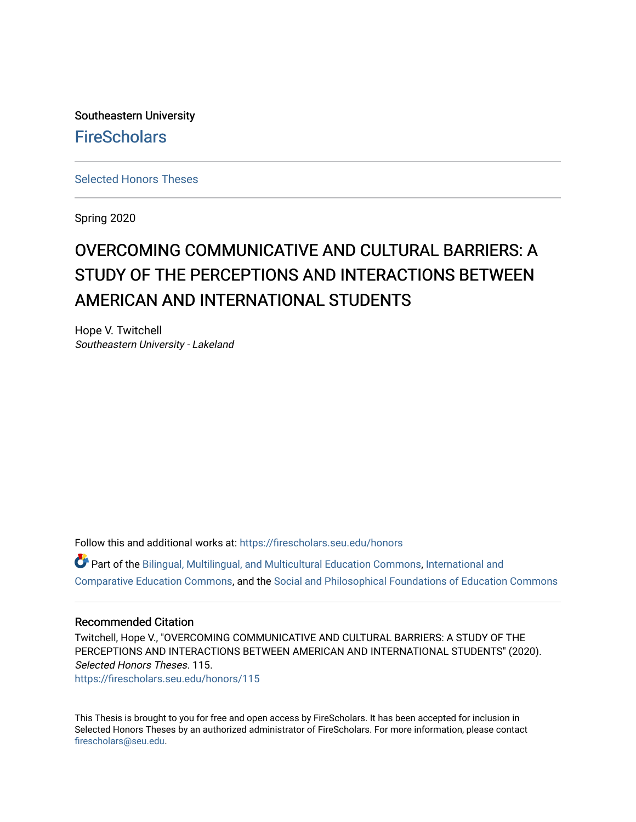Southeastern University **FireScholars** 

[Selected Honors Theses](https://firescholars.seu.edu/honors)

Spring 2020

# OVERCOMING COMMUNICATIVE AND CULTURAL BARRIERS: A STUDY OF THE PERCEPTIONS AND INTERACTIONS BETWEEN AMERICAN AND INTERNATIONAL STUDENTS

Hope V. Twitchell Southeastern University - Lakeland

Follow this and additional works at: [https://firescholars.seu.edu/honors](https://firescholars.seu.edu/honors?utm_source=firescholars.seu.edu%2Fhonors%2F115&utm_medium=PDF&utm_campaign=PDFCoverPages)

Part of the [Bilingual, Multilingual, and Multicultural Education Commons,](http://network.bepress.com/hgg/discipline/785?utm_source=firescholars.seu.edu%2Fhonors%2F115&utm_medium=PDF&utm_campaign=PDFCoverPages) [International and](http://network.bepress.com/hgg/discipline/797?utm_source=firescholars.seu.edu%2Fhonors%2F115&utm_medium=PDF&utm_campaign=PDFCoverPages) [Comparative Education Commons,](http://network.bepress.com/hgg/discipline/797?utm_source=firescholars.seu.edu%2Fhonors%2F115&utm_medium=PDF&utm_campaign=PDFCoverPages) and the [Social and Philosophical Foundations of Education Commons](http://network.bepress.com/hgg/discipline/799?utm_source=firescholars.seu.edu%2Fhonors%2F115&utm_medium=PDF&utm_campaign=PDFCoverPages)

#### Recommended Citation

Twitchell, Hope V., "OVERCOMING COMMUNICATIVE AND CULTURAL BARRIERS: A STUDY OF THE PERCEPTIONS AND INTERACTIONS BETWEEN AMERICAN AND INTERNATIONAL STUDENTS" (2020). Selected Honors Theses. 115. [https://firescholars.seu.edu/honors/115](https://firescholars.seu.edu/honors/115?utm_source=firescholars.seu.edu%2Fhonors%2F115&utm_medium=PDF&utm_campaign=PDFCoverPages)

This Thesis is brought to you for free and open access by FireScholars. It has been accepted for inclusion in Selected Honors Theses by an authorized administrator of FireScholars. For more information, please contact [firescholars@seu.edu.](mailto:firescholars@seu.edu)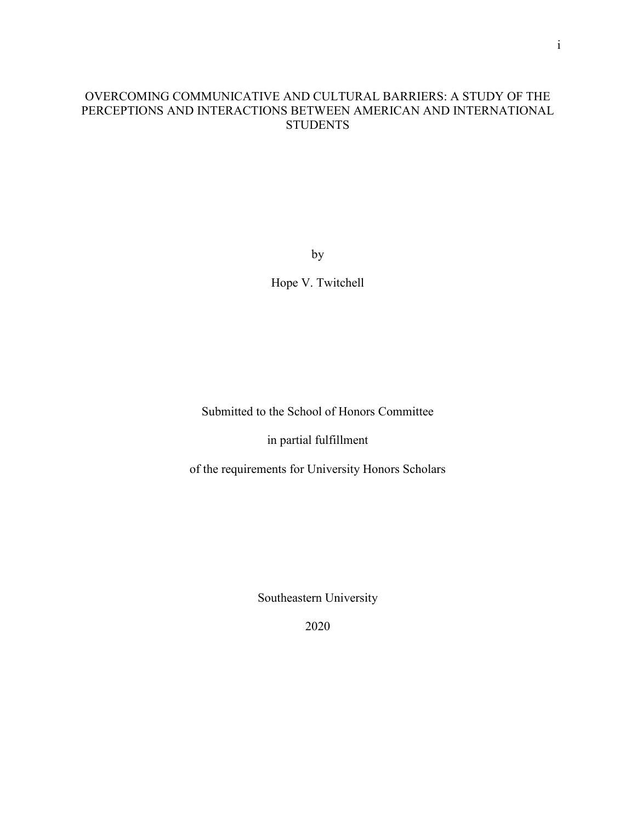# OVERCOMING COMMUNICATIVE AND CULTURAL BARRIERS: A STUDY OF THE PERCEPTIONS AND INTERACTIONS BETWEEN AMERICAN AND INTERNATIONAL **STUDENTS**

by

Hope V. Twitchell

Submitted to the School of Honors Committee

in partial fulfillment

of the requirements for University Honors Scholars

Southeastern University

2020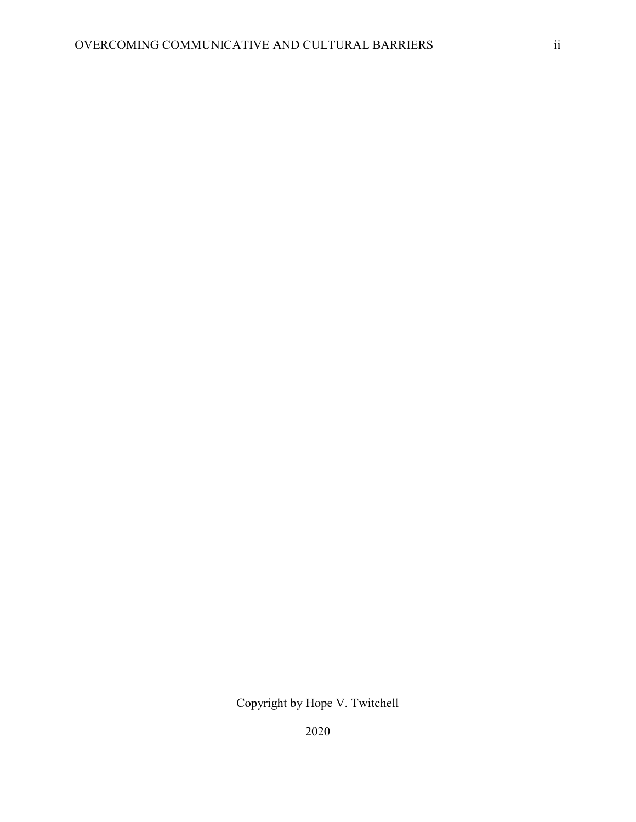Copyright by Hope V. Twitchell

2020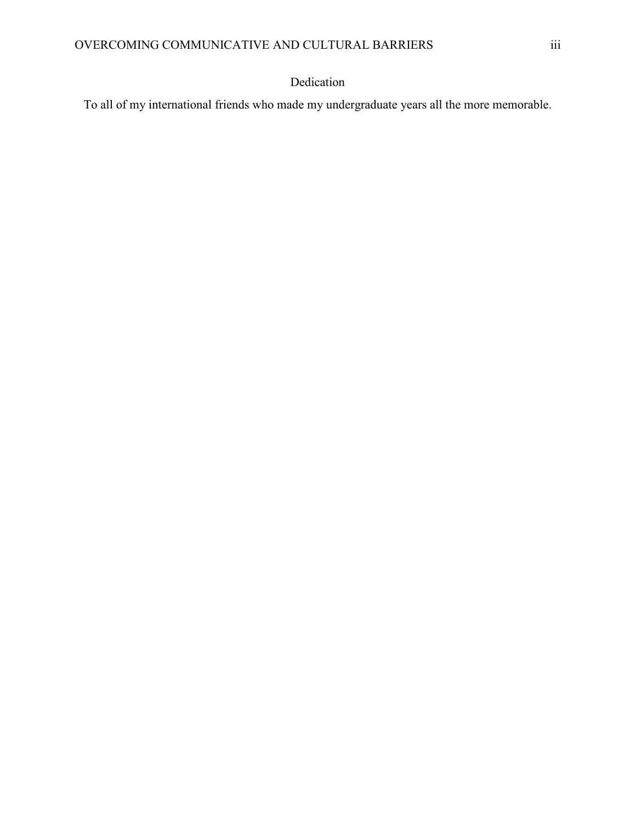# Dedication

To all of my international friends who made my undergraduate years all the more memorable.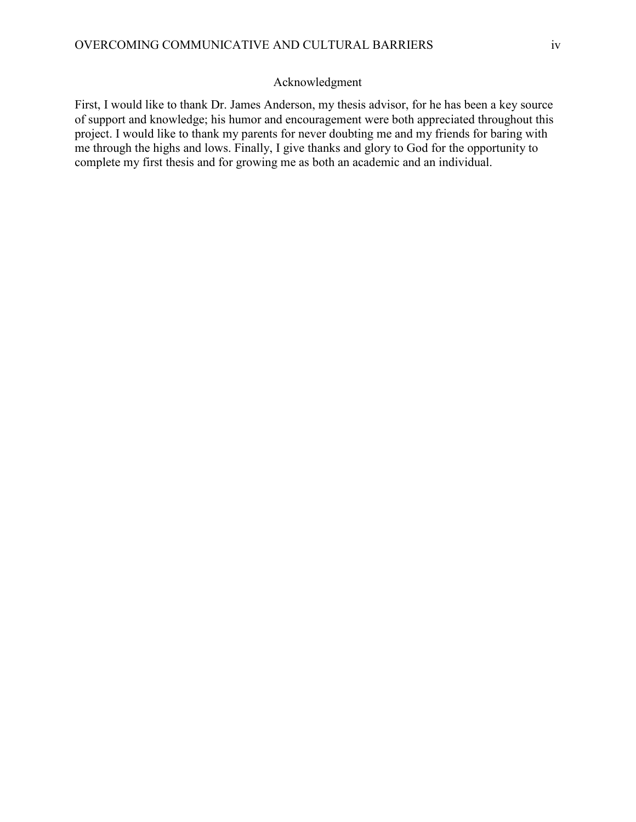## Acknowledgment

First, I would like to thank Dr. James Anderson, my thesis advisor, for he has been a key source of support and knowledge; his humor and encouragement were both appreciated throughout this project. I would like to thank my parents for never doubting me and my friends for baring with me through the highs and lows. Finally, I give thanks and glory to God for the opportunity to complete my first thesis and for growing me as both an academic and an individual.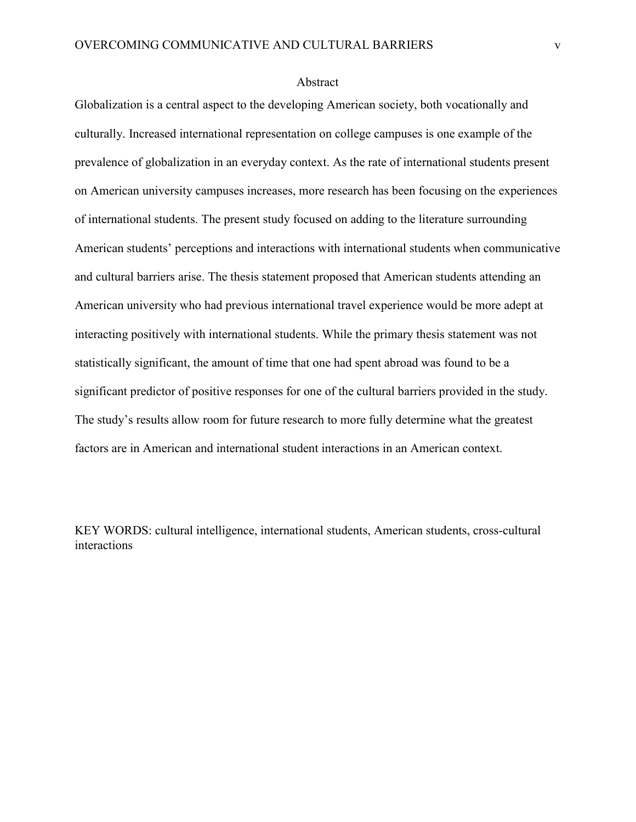#### Abstract

Globalization is a central aspect to the developing American society, both vocationally and culturally. Increased international representation on college campuses is one example of the prevalence of globalization in an everyday context. As the rate of international students present on American university campuses increases, more research has been focusing on the experiences of international students. The present study focused on adding to the literature surrounding American students' perceptions and interactions with international students when communicative and cultural barriers arise. The thesis statement proposed that American students attending an American university who had previous international travel experience would be more adept at interacting positively with international students. While the primary thesis statement was not statistically significant, the amount of time that one had spent abroad was found to be a significant predictor of positive responses for one of the cultural barriers provided in the study. The study's results allow room for future research to more fully determine what the greatest factors are in American and international student interactions in an American context.

KEY WORDS: cultural intelligence, international students, American students, cross-cultural interactions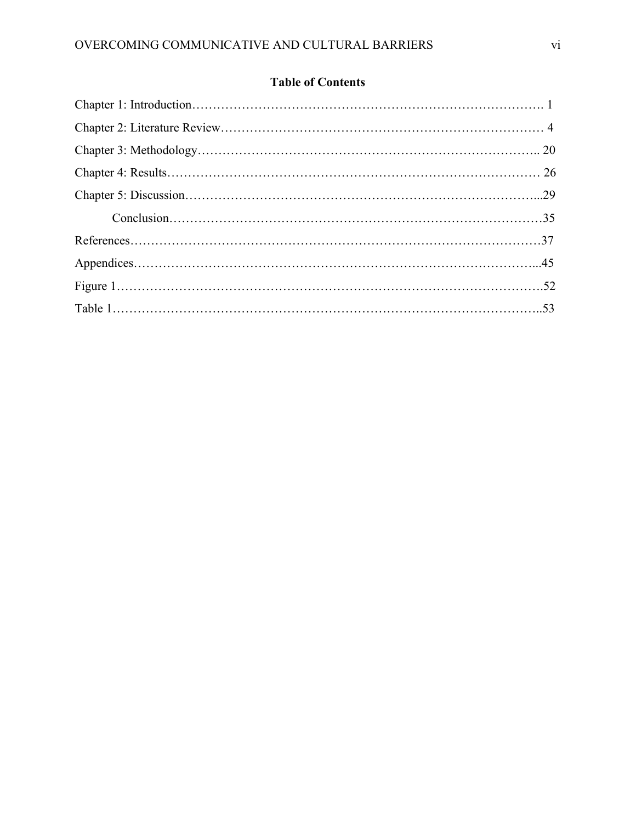# **Table of Contents**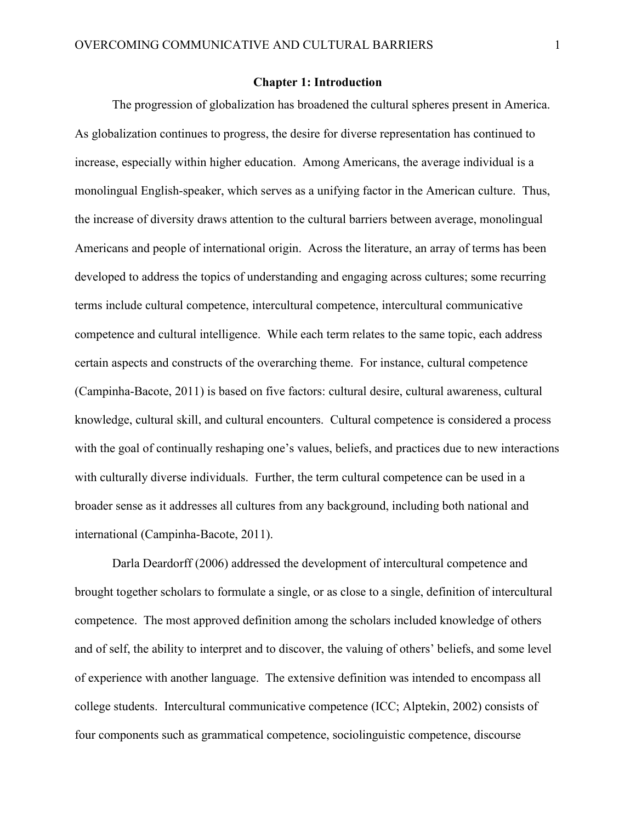#### **Chapter 1: Introduction**

The progression of globalization has broadened the cultural spheres present in America. As globalization continues to progress, the desire for diverse representation has continued to increase, especially within higher education. Among Americans, the average individual is a monolingual English-speaker, which serves as a unifying factor in the American culture. Thus, the increase of diversity draws attention to the cultural barriers between average, monolingual Americans and people of international origin. Across the literature, an array of terms has been developed to address the topics of understanding and engaging across cultures; some recurring terms include cultural competence, intercultural competence, intercultural communicative competence and cultural intelligence. While each term relates to the same topic, each address certain aspects and constructs of the overarching theme. For instance, cultural competence (Campinha-Bacote, 2011) is based on five factors: cultural desire, cultural awareness, cultural knowledge, cultural skill, and cultural encounters. Cultural competence is considered a process with the goal of continually reshaping one's values, beliefs, and practices due to new interactions with culturally diverse individuals. Further, the term cultural competence can be used in a broader sense as it addresses all cultures from any background, including both national and international (Campinha-Bacote, 2011).

Darla Deardorff (2006) addressed the development of intercultural competence and brought together scholars to formulate a single, or as close to a single, definition of intercultural competence. The most approved definition among the scholars included knowledge of others and of self, the ability to interpret and to discover, the valuing of others' beliefs, and some level of experience with another language. The extensive definition was intended to encompass all college students. Intercultural communicative competence (ICC; Alptekin, 2002) consists of four components such as grammatical competence, sociolinguistic competence, discourse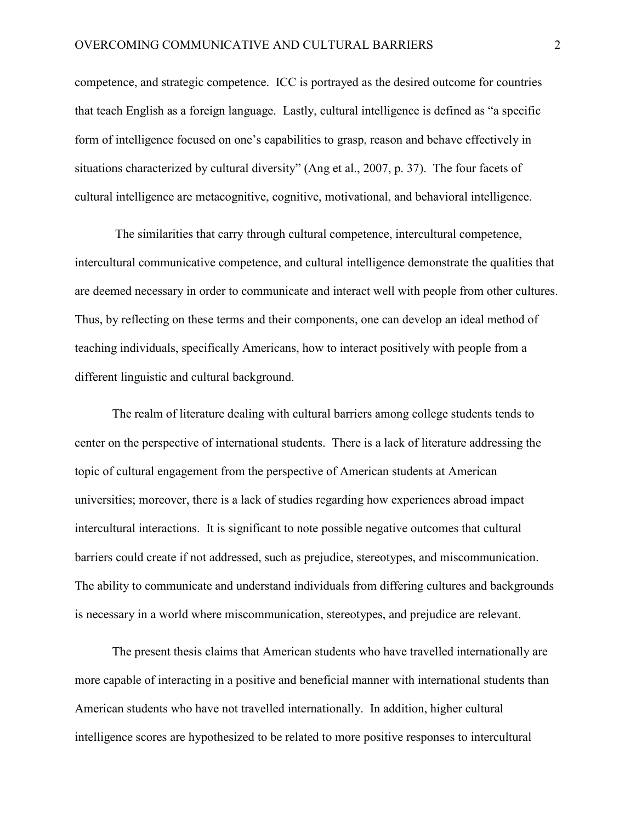competence, and strategic competence. ICC is portrayed as the desired outcome for countries that teach English as a foreign language. Lastly, cultural intelligence is defined as "a specific form of intelligence focused on one's capabilities to grasp, reason and behave effectively in situations characterized by cultural diversity" (Ang et al., 2007, p. 37). The four facets of cultural intelligence are metacognitive, cognitive, motivational, and behavioral intelligence.

The similarities that carry through cultural competence, intercultural competence, intercultural communicative competence, and cultural intelligence demonstrate the qualities that are deemed necessary in order to communicate and interact well with people from other cultures. Thus, by reflecting on these terms and their components, one can develop an ideal method of teaching individuals, specifically Americans, how to interact positively with people from a different linguistic and cultural background.

The realm of literature dealing with cultural barriers among college students tends to center on the perspective of international students. There is a lack of literature addressing the topic of cultural engagement from the perspective of American students at American universities; moreover, there is a lack of studies regarding how experiences abroad impact intercultural interactions. It is significant to note possible negative outcomes that cultural barriers could create if not addressed, such as prejudice, stereotypes, and miscommunication. The ability to communicate and understand individuals from differing cultures and backgrounds is necessary in a world where miscommunication, stereotypes, and prejudice are relevant.

The present thesis claims that American students who have travelled internationally are more capable of interacting in a positive and beneficial manner with international students than American students who have not travelled internationally. In addition, higher cultural intelligence scores are hypothesized to be related to more positive responses to intercultural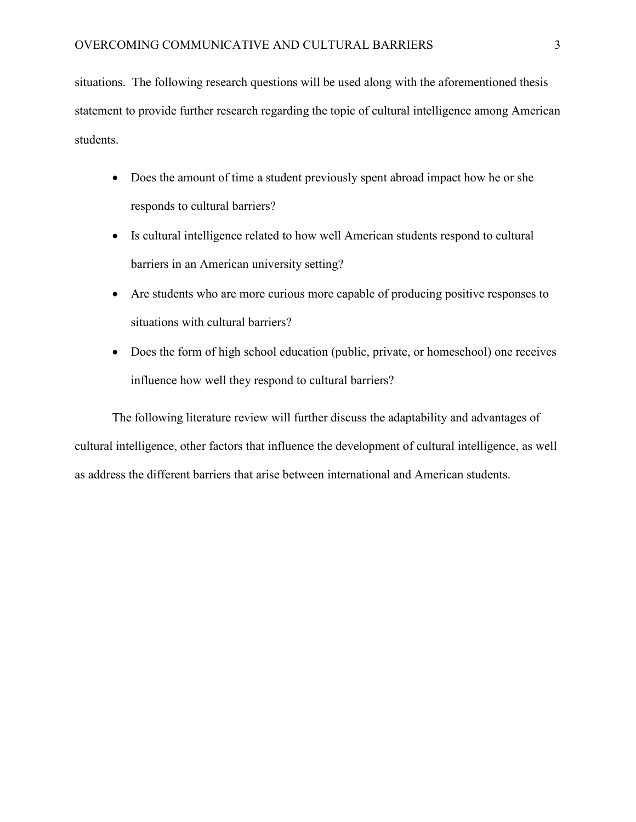situations. The following research questions will be used along with the aforementioned thesis statement to provide further research regarding the topic of cultural intelligence among American students.

- Does the amount of time a student previously spent abroad impact how he or she responds to cultural barriers?
- Is cultural intelligence related to how well American students respond to cultural barriers in an American university setting?
- Are students who are more curious more capable of producing positive responses to situations with cultural barriers?
- Does the form of high school education (public, private, or homeschool) one receives influence how well they respond to cultural barriers?

The following literature review will further discuss the adaptability and advantages of cultural intelligence, other factors that influence the development of cultural intelligence, as well as address the different barriers that arise between international and American students.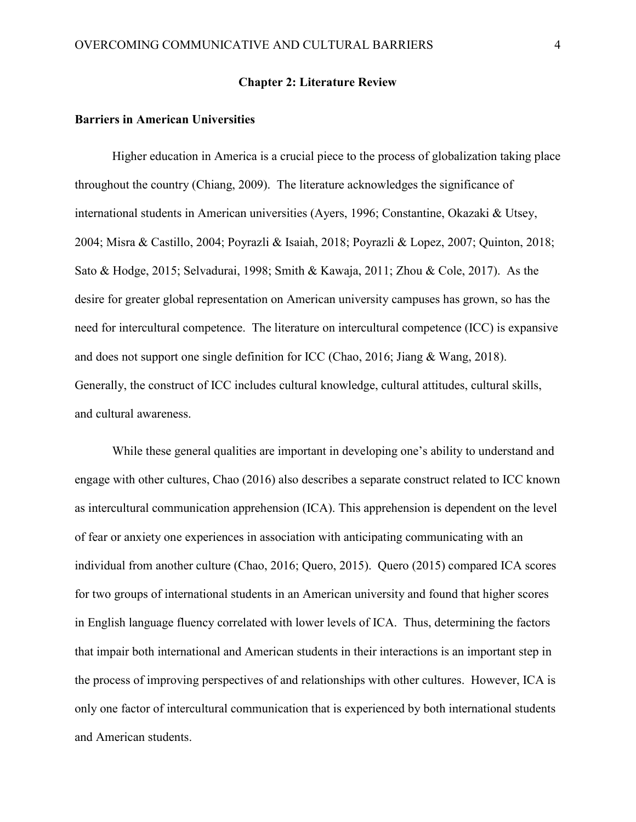#### **Chapter 2: Literature Review**

#### **Barriers in American Universities**

Higher education in America is a crucial piece to the process of globalization taking place throughout the country (Chiang, 2009). The literature acknowledges the significance of international students in American universities (Ayers, 1996; Constantine, Okazaki & Utsey, 2004; Misra & Castillo, 2004; Poyrazli & Isaiah, 2018; Poyrazli & Lopez, 2007; Quinton, 2018; Sato & Hodge, 2015; Selvadurai, 1998; Smith & Kawaja, 2011; Zhou & Cole, 2017). As the desire for greater global representation on American university campuses has grown, so has the need for intercultural competence. The literature on intercultural competence (ICC) is expansive and does not support one single definition for ICC (Chao, 2016; Jiang & Wang, 2018). Generally, the construct of ICC includes cultural knowledge, cultural attitudes, cultural skills, and cultural awareness.

While these general qualities are important in developing one's ability to understand and engage with other cultures, Chao (2016) also describes a separate construct related to ICC known as intercultural communication apprehension (ICA). This apprehension is dependent on the level of fear or anxiety one experiences in association with anticipating communicating with an individual from another culture (Chao, 2016; Quero, 2015). Quero (2015) compared ICA scores for two groups of international students in an American university and found that higher scores in English language fluency correlated with lower levels of ICA. Thus, determining the factors that impair both international and American students in their interactions is an important step in the process of improving perspectives of and relationships with other cultures. However, ICA is only one factor of intercultural communication that is experienced by both international students and American students.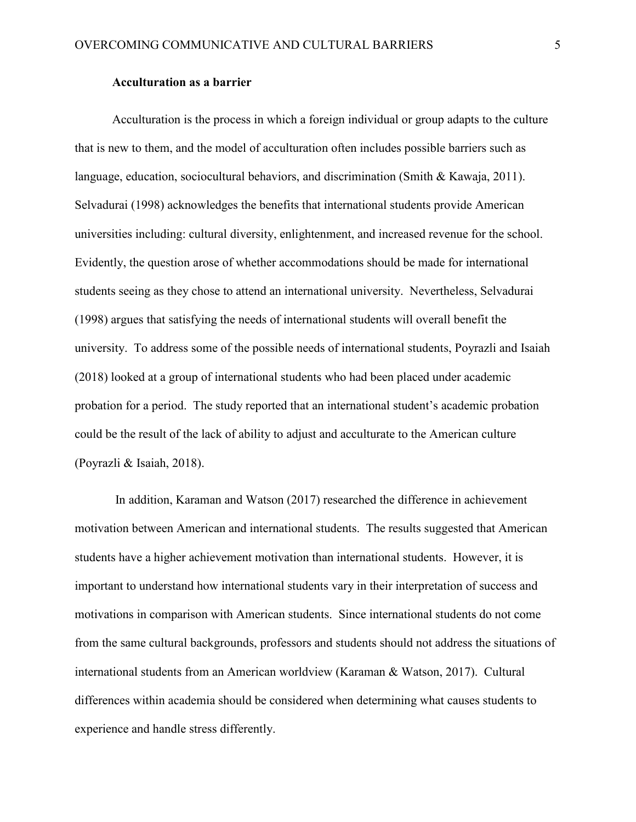#### **Acculturation as a barrier**

Acculturation is the process in which a foreign individual or group adapts to the culture that is new to them, and the model of acculturation often includes possible barriers such as language, education, sociocultural behaviors, and discrimination (Smith & Kawaja, 2011). Selvadurai (1998) acknowledges the benefits that international students provide American universities including: cultural diversity, enlightenment, and increased revenue for the school. Evidently, the question arose of whether accommodations should be made for international students seeing as they chose to attend an international university. Nevertheless, Selvadurai (1998) argues that satisfying the needs of international students will overall benefit the university. To address some of the possible needs of international students, Poyrazli and Isaiah (2018) looked at a group of international students who had been placed under academic probation for a period. The study reported that an international student's academic probation could be the result of the lack of ability to adjust and acculturate to the American culture (Poyrazli & Isaiah, 2018).

In addition, Karaman and Watson (2017) researched the difference in achievement motivation between American and international students. The results suggested that American students have a higher achievement motivation than international students. However, it is important to understand how international students vary in their interpretation of success and motivations in comparison with American students. Since international students do not come from the same cultural backgrounds, professors and students should not address the situations of international students from an American worldview (Karaman & Watson, 2017). Cultural differences within academia should be considered when determining what causes students to experience and handle stress differently.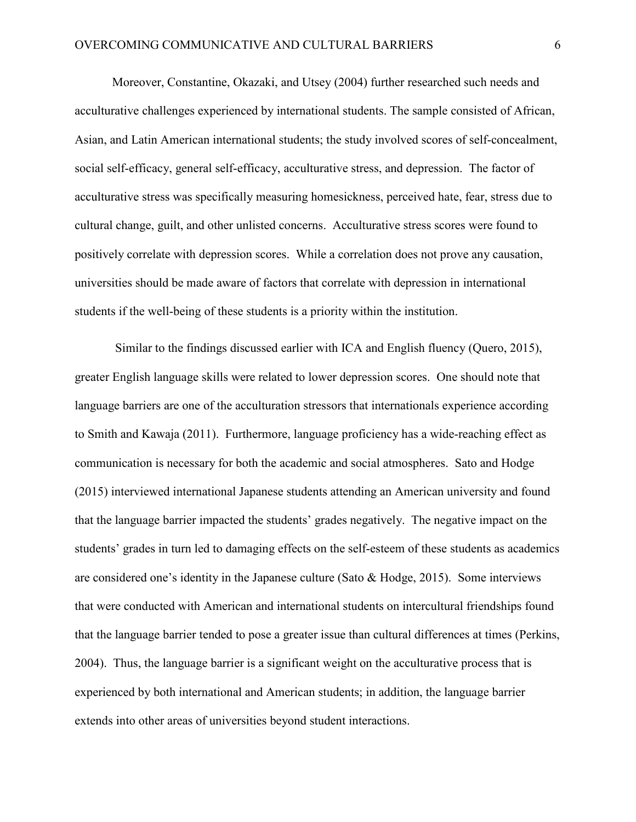Moreover, Constantine, Okazaki, and Utsey (2004) further researched such needs and acculturative challenges experienced by international students. The sample consisted of African, Asian, and Latin American international students; the study involved scores of self-concealment, social self-efficacy, general self-efficacy, acculturative stress, and depression. The factor of acculturative stress was specifically measuring homesickness, perceived hate, fear, stress due to cultural change, guilt, and other unlisted concerns. Acculturative stress scores were found to positively correlate with depression scores. While a correlation does not prove any causation, universities should be made aware of factors that correlate with depression in international students if the well-being of these students is a priority within the institution.

Similar to the findings discussed earlier with ICA and English fluency (Quero, 2015), greater English language skills were related to lower depression scores. One should note that language barriers are one of the acculturation stressors that internationals experience according to Smith and Kawaja (2011). Furthermore, language proficiency has a wide-reaching effect as communication is necessary for both the academic and social atmospheres. Sato and Hodge (2015) interviewed international Japanese students attending an American university and found that the language barrier impacted the students' grades negatively. The negative impact on the students' grades in turn led to damaging effects on the self-esteem of these students as academics are considered one's identity in the Japanese culture (Sato & Hodge, 2015). Some interviews that were conducted with American and international students on intercultural friendships found that the language barrier tended to pose a greater issue than cultural differences at times (Perkins, 2004). Thus, the language barrier is a significant weight on the acculturative process that is experienced by both international and American students; in addition, the language barrier extends into other areas of universities beyond student interactions.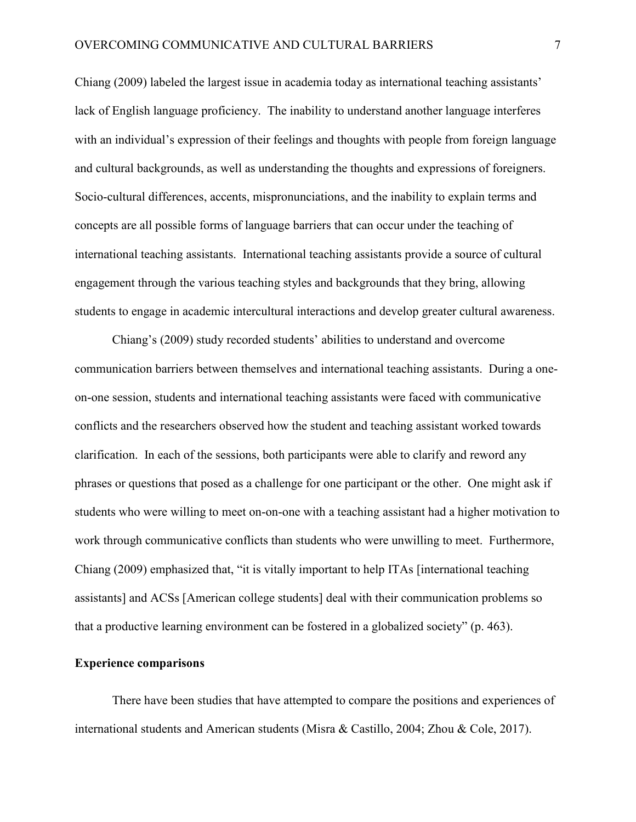Chiang (2009) labeled the largest issue in academia today as international teaching assistants' lack of English language proficiency. The inability to understand another language interferes with an individual's expression of their feelings and thoughts with people from foreign language and cultural backgrounds, as well as understanding the thoughts and expressions of foreigners. Socio-cultural differences, accents, mispronunciations, and the inability to explain terms and concepts are all possible forms of language barriers that can occur under the teaching of international teaching assistants. International teaching assistants provide a source of cultural engagement through the various teaching styles and backgrounds that they bring, allowing students to engage in academic intercultural interactions and develop greater cultural awareness.

Chiang's (2009) study recorded students' abilities to understand and overcome communication barriers between themselves and international teaching assistants. During a oneon-one session, students and international teaching assistants were faced with communicative conflicts and the researchers observed how the student and teaching assistant worked towards clarification. In each of the sessions, both participants were able to clarify and reword any phrases or questions that posed as a challenge for one participant or the other. One might ask if students who were willing to meet on-on-one with a teaching assistant had a higher motivation to work through communicative conflicts than students who were unwilling to meet. Furthermore, Chiang (2009) emphasized that, "it is vitally important to help ITAs [international teaching assistants] and ACSs [American college students] deal with their communication problems so that a productive learning environment can be fostered in a globalized society" (p. 463).

#### **Experience comparisons**

There have been studies that have attempted to compare the positions and experiences of international students and American students (Misra & Castillo, 2004; Zhou & Cole, 2017).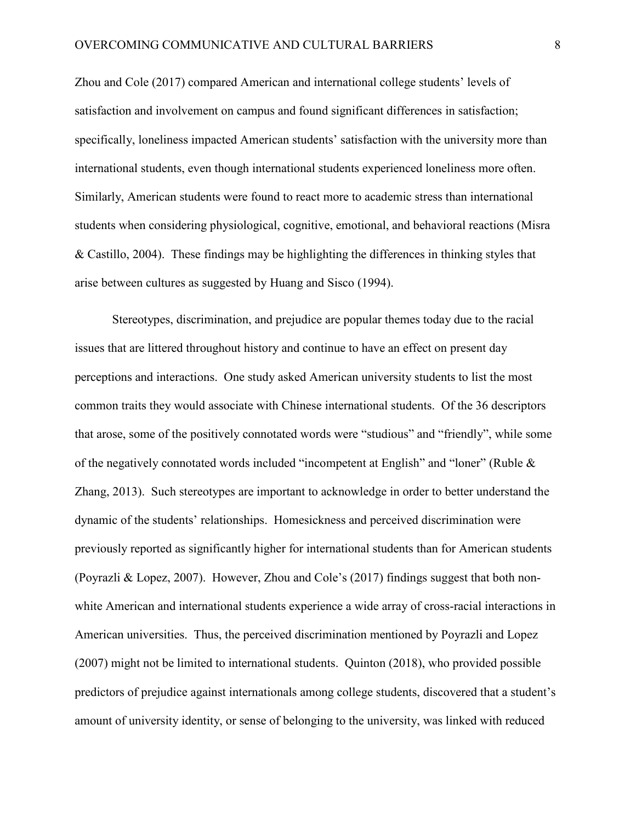Zhou and Cole (2017) compared American and international college students' levels of satisfaction and involvement on campus and found significant differences in satisfaction; specifically, loneliness impacted American students' satisfaction with the university more than international students, even though international students experienced loneliness more often. Similarly, American students were found to react more to academic stress than international students when considering physiological, cognitive, emotional, and behavioral reactions (Misra & Castillo, 2004). These findings may be highlighting the differences in thinking styles that arise between cultures as suggested by Huang and Sisco (1994).

Stereotypes, discrimination, and prejudice are popular themes today due to the racial issues that are littered throughout history and continue to have an effect on present day perceptions and interactions. One study asked American university students to list the most common traits they would associate with Chinese international students. Of the 36 descriptors that arose, some of the positively connotated words were "studious" and "friendly", while some of the negatively connotated words included "incompetent at English" and "loner" (Ruble & Zhang, 2013). Such stereotypes are important to acknowledge in order to better understand the dynamic of the students' relationships. Homesickness and perceived discrimination were previously reported as significantly higher for international students than for American students (Poyrazli & Lopez, 2007). However, Zhou and Cole's (2017) findings suggest that both nonwhite American and international students experience a wide array of cross-racial interactions in American universities. Thus, the perceived discrimination mentioned by Poyrazli and Lopez (2007) might not be limited to international students. Quinton (2018), who provided possible predictors of prejudice against internationals among college students, discovered that a student's amount of university identity, or sense of belonging to the university, was linked with reduced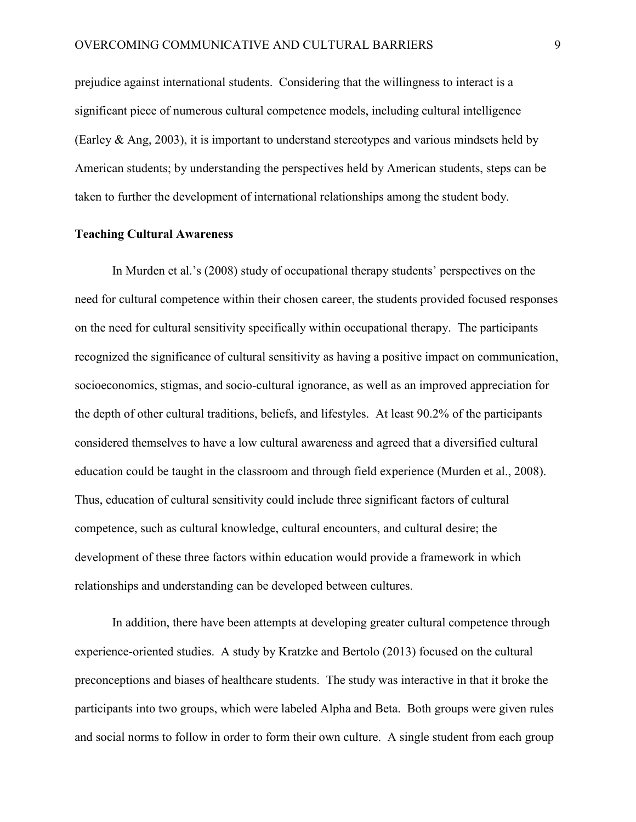prejudice against international students. Considering that the willingness to interact is a significant piece of numerous cultural competence models, including cultural intelligence (Earley & Ang, 2003), it is important to understand stereotypes and various mindsets held by American students; by understanding the perspectives held by American students, steps can be taken to further the development of international relationships among the student body.

#### **Teaching Cultural Awareness**

In Murden et al.'s (2008) study of occupational therapy students' perspectives on the need for cultural competence within their chosen career, the students provided focused responses on the need for cultural sensitivity specifically within occupational therapy. The participants recognized the significance of cultural sensitivity as having a positive impact on communication, socioeconomics, stigmas, and socio-cultural ignorance, as well as an improved appreciation for the depth of other cultural traditions, beliefs, and lifestyles. At least 90.2% of the participants considered themselves to have a low cultural awareness and agreed that a diversified cultural education could be taught in the classroom and through field experience (Murden et al., 2008). Thus, education of cultural sensitivity could include three significant factors of cultural competence, such as cultural knowledge, cultural encounters, and cultural desire; the development of these three factors within education would provide a framework in which relationships and understanding can be developed between cultures.

In addition, there have been attempts at developing greater cultural competence through experience-oriented studies. A study by Kratzke and Bertolo (2013) focused on the cultural preconceptions and biases of healthcare students. The study was interactive in that it broke the participants into two groups, which were labeled Alpha and Beta. Both groups were given rules and social norms to follow in order to form their own culture. A single student from each group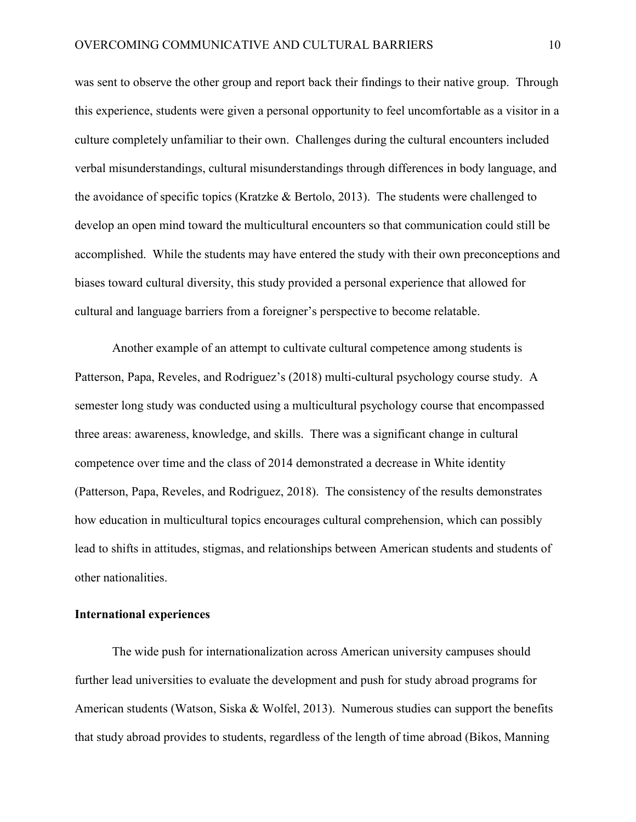was sent to observe the other group and report back their findings to their native group. Through this experience, students were given a personal opportunity to feel uncomfortable as a visitor in a culture completely unfamiliar to their own. Challenges during the cultural encounters included verbal misunderstandings, cultural misunderstandings through differences in body language, and the avoidance of specific topics (Kratzke & Bertolo, 2013). The students were challenged to develop an open mind toward the multicultural encounters so that communication could still be accomplished. While the students may have entered the study with their own preconceptions and biases toward cultural diversity, this study provided a personal experience that allowed for cultural and language barriers from a foreigner's perspective to become relatable.

Another example of an attempt to cultivate cultural competence among students is Patterson, Papa, Reveles, and Rodriguez's (2018) multi-cultural psychology course study. A semester long study was conducted using a multicultural psychology course that encompassed three areas: awareness, knowledge, and skills. There was a significant change in cultural competence over time and the class of 2014 demonstrated a decrease in White identity (Patterson, Papa, Reveles, and Rodriguez, 2018). The consistency of the results demonstrates how education in multicultural topics encourages cultural comprehension, which can possibly lead to shifts in attitudes, stigmas, and relationships between American students and students of other nationalities.

#### **International experiences**

The wide push for internationalization across American university campuses should further lead universities to evaluate the development and push for study abroad programs for American students (Watson, Siska & Wolfel, 2013). Numerous studies can support the benefits that study abroad provides to students, regardless of the length of time abroad (Bikos, Manning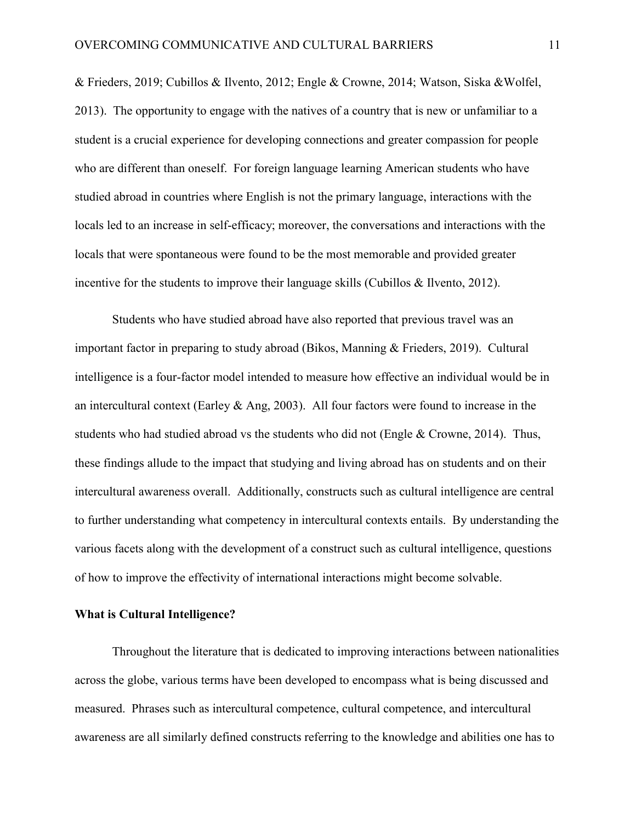& Frieders, 2019; Cubillos & Ilvento, 2012; Engle & Crowne, 2014; Watson, Siska &Wolfel, 2013). The opportunity to engage with the natives of a country that is new or unfamiliar to a student is a crucial experience for developing connections and greater compassion for people who are different than oneself. For foreign language learning American students who have studied abroad in countries where English is not the primary language, interactions with the locals led to an increase in self-efficacy; moreover, the conversations and interactions with the locals that were spontaneous were found to be the most memorable and provided greater incentive for the students to improve their language skills (Cubillos & Ilvento, 2012).

Students who have studied abroad have also reported that previous travel was an important factor in preparing to study abroad (Bikos, Manning & Frieders, 2019). Cultural intelligence is a four-factor model intended to measure how effective an individual would be in an intercultural context (Earley & Ang, 2003). All four factors were found to increase in the students who had studied abroad vs the students who did not (Engle & Crowne, 2014). Thus, these findings allude to the impact that studying and living abroad has on students and on their intercultural awareness overall. Additionally, constructs such as cultural intelligence are central to further understanding what competency in intercultural contexts entails. By understanding the various facets along with the development of a construct such as cultural intelligence, questions of how to improve the effectivity of international interactions might become solvable.

#### **What is Cultural Intelligence?**

Throughout the literature that is dedicated to improving interactions between nationalities across the globe, various terms have been developed to encompass what is being discussed and measured. Phrases such as intercultural competence, cultural competence, and intercultural awareness are all similarly defined constructs referring to the knowledge and abilities one has to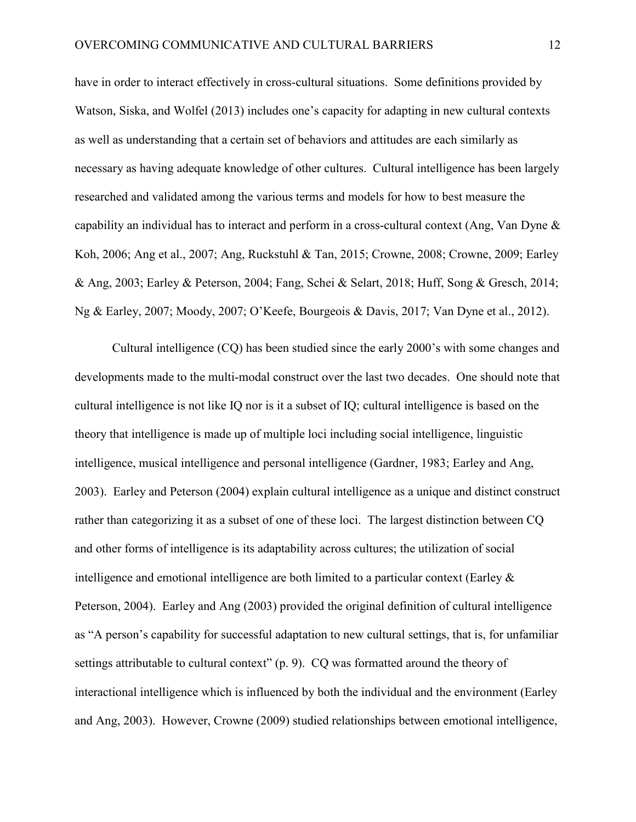have in order to interact effectively in cross-cultural situations. Some definitions provided by Watson, Siska, and Wolfel (2013) includes one's capacity for adapting in new cultural contexts as well as understanding that a certain set of behaviors and attitudes are each similarly as necessary as having adequate knowledge of other cultures. Cultural intelligence has been largely researched and validated among the various terms and models for how to best measure the capability an individual has to interact and perform in a cross-cultural context (Ang, Van Dyne & Koh, 2006; Ang et al., 2007; Ang, Ruckstuhl & Tan, 2015; Crowne, 2008; Crowne, 2009; Earley & Ang, 2003; Earley & Peterson, 2004; Fang, Schei & Selart, 2018; Huff, Song & Gresch, 2014; Ng & Earley, 2007; Moody, 2007; O'Keefe, Bourgeois & Davis, 2017; Van Dyne et al., 2012).

Cultural intelligence (CQ) has been studied since the early 2000's with some changes and developments made to the multi-modal construct over the last two decades. One should note that cultural intelligence is not like IQ nor is it a subset of IQ; cultural intelligence is based on the theory that intelligence is made up of multiple loci including social intelligence, linguistic intelligence, musical intelligence and personal intelligence (Gardner, 1983; Earley and Ang, 2003). Earley and Peterson (2004) explain cultural intelligence as a unique and distinct construct rather than categorizing it as a subset of one of these loci. The largest distinction between CQ and other forms of intelligence is its adaptability across cultures; the utilization of social intelligence and emotional intelligence are both limited to a particular context (Earley & Peterson, 2004). Earley and Ang (2003) provided the original definition of cultural intelligence as "A person's capability for successful adaptation to new cultural settings, that is, for unfamiliar settings attributable to cultural context" (p. 9). CQ was formatted around the theory of interactional intelligence which is influenced by both the individual and the environment (Earley and Ang, 2003). However, Crowne (2009) studied relationships between emotional intelligence,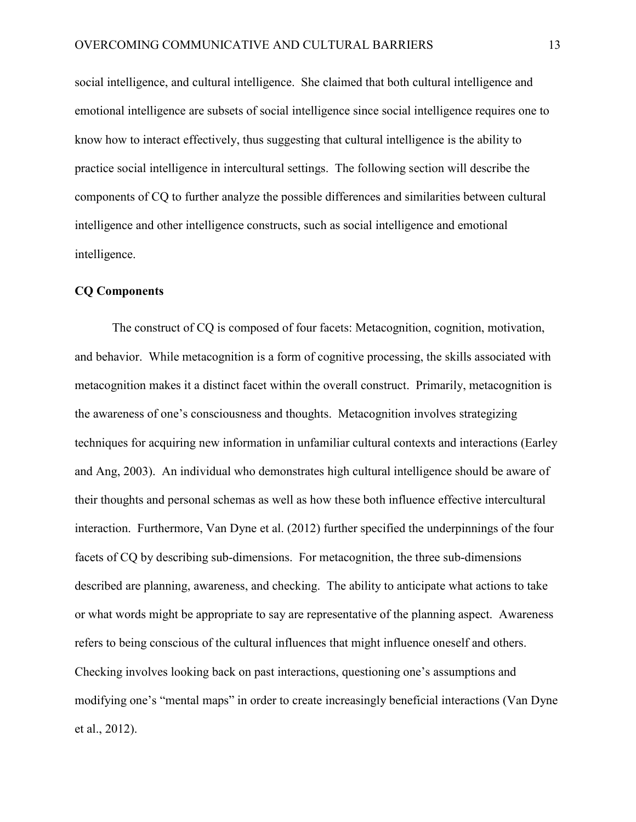social intelligence, and cultural intelligence. She claimed that both cultural intelligence and emotional intelligence are subsets of social intelligence since social intelligence requires one to know how to interact effectively, thus suggesting that cultural intelligence is the ability to practice social intelligence in intercultural settings. The following section will describe the components of CQ to further analyze the possible differences and similarities between cultural intelligence and other intelligence constructs, such as social intelligence and emotional intelligence.

#### **CQ Components**

The construct of CQ is composed of four facets: Metacognition, cognition, motivation, and behavior. While metacognition is a form of cognitive processing, the skills associated with metacognition makes it a distinct facet within the overall construct. Primarily, metacognition is the awareness of one's consciousness and thoughts. Metacognition involves strategizing techniques for acquiring new information in unfamiliar cultural contexts and interactions (Earley and Ang, 2003). An individual who demonstrates high cultural intelligence should be aware of their thoughts and personal schemas as well as how these both influence effective intercultural interaction. Furthermore, Van Dyne et al. (2012) further specified the underpinnings of the four facets of CQ by describing sub-dimensions. For metacognition, the three sub-dimensions described are planning, awareness, and checking. The ability to anticipate what actions to take or what words might be appropriate to say are representative of the planning aspect. Awareness refers to being conscious of the cultural influences that might influence oneself and others. Checking involves looking back on past interactions, questioning one's assumptions and modifying one's "mental maps" in order to create increasingly beneficial interactions (Van Dyne et al., 2012).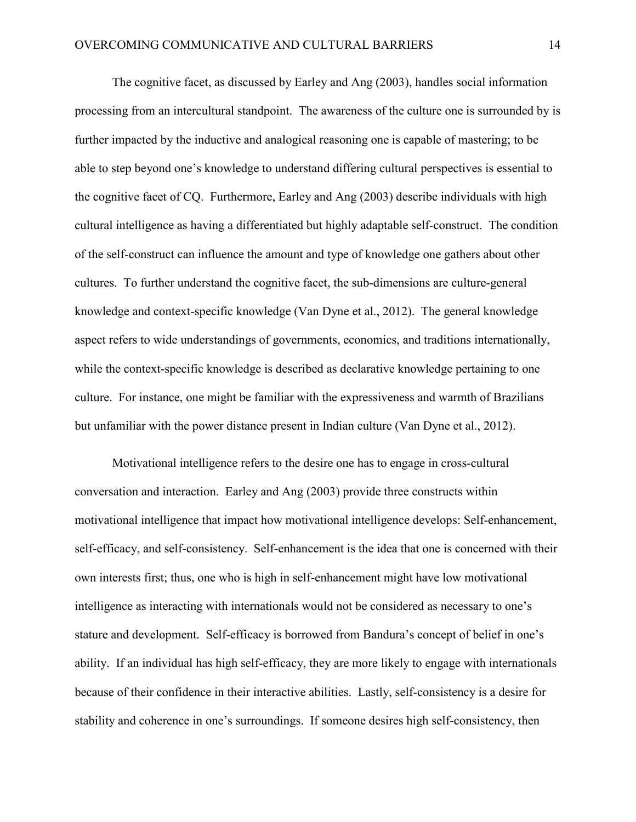The cognitive facet, as discussed by Earley and Ang (2003), handles social information processing from an intercultural standpoint. The awareness of the culture one is surrounded by is further impacted by the inductive and analogical reasoning one is capable of mastering; to be able to step beyond one's knowledge to understand differing cultural perspectives is essential to the cognitive facet of CQ. Furthermore, Earley and Ang (2003) describe individuals with high cultural intelligence as having a differentiated but highly adaptable self-construct. The condition of the self-construct can influence the amount and type of knowledge one gathers about other cultures. To further understand the cognitive facet, the sub-dimensions are culture-general knowledge and context-specific knowledge (Van Dyne et al., 2012). The general knowledge aspect refers to wide understandings of governments, economics, and traditions internationally, while the context-specific knowledge is described as declarative knowledge pertaining to one culture. For instance, one might be familiar with the expressiveness and warmth of Brazilians but unfamiliar with the power distance present in Indian culture (Van Dyne et al., 2012).

Motivational intelligence refers to the desire one has to engage in cross-cultural conversation and interaction. Earley and Ang (2003) provide three constructs within motivational intelligence that impact how motivational intelligence develops: Self-enhancement, self-efficacy, and self-consistency. Self-enhancement is the idea that one is concerned with their own interests first; thus, one who is high in self-enhancement might have low motivational intelligence as interacting with internationals would not be considered as necessary to one's stature and development. Self-efficacy is borrowed from Bandura's concept of belief in one's ability. If an individual has high self-efficacy, they are more likely to engage with internationals because of their confidence in their interactive abilities. Lastly, self-consistency is a desire for stability and coherence in one's surroundings. If someone desires high self-consistency, then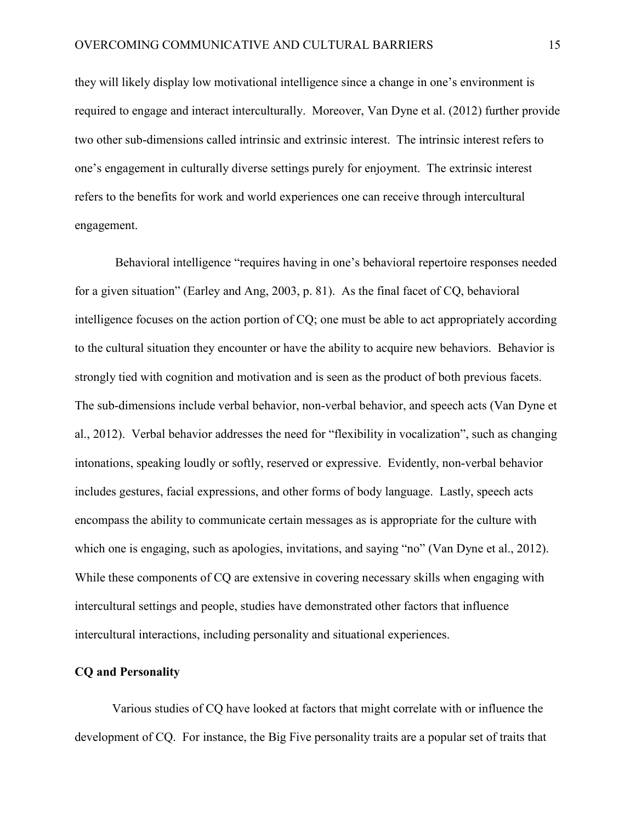they will likely display low motivational intelligence since a change in one's environment is required to engage and interact interculturally. Moreover, Van Dyne et al. (2012) further provide two other sub-dimensions called intrinsic and extrinsic interest. The intrinsic interest refers to one's engagement in culturally diverse settings purely for enjoyment. The extrinsic interest refers to the benefits for work and world experiences one can receive through intercultural engagement.

Behavioral intelligence "requires having in one's behavioral repertoire responses needed for a given situation" (Earley and Ang, 2003, p. 81). As the final facet of CQ, behavioral intelligence focuses on the action portion of CQ; one must be able to act appropriately according to the cultural situation they encounter or have the ability to acquire new behaviors. Behavior is strongly tied with cognition and motivation and is seen as the product of both previous facets. The sub-dimensions include verbal behavior, non-verbal behavior, and speech acts (Van Dyne et al., 2012). Verbal behavior addresses the need for "flexibility in vocalization", such as changing intonations, speaking loudly or softly, reserved or expressive. Evidently, non-verbal behavior includes gestures, facial expressions, and other forms of body language. Lastly, speech acts encompass the ability to communicate certain messages as is appropriate for the culture with which one is engaging, such as apologies, invitations, and saying "no" (Van Dyne et al., 2012). While these components of CQ are extensive in covering necessary skills when engaging with intercultural settings and people, studies have demonstrated other factors that influence intercultural interactions, including personality and situational experiences.

#### **CQ and Personality**

Various studies of CQ have looked at factors that might correlate with or influence the development of CQ. For instance, the Big Five personality traits are a popular set of traits that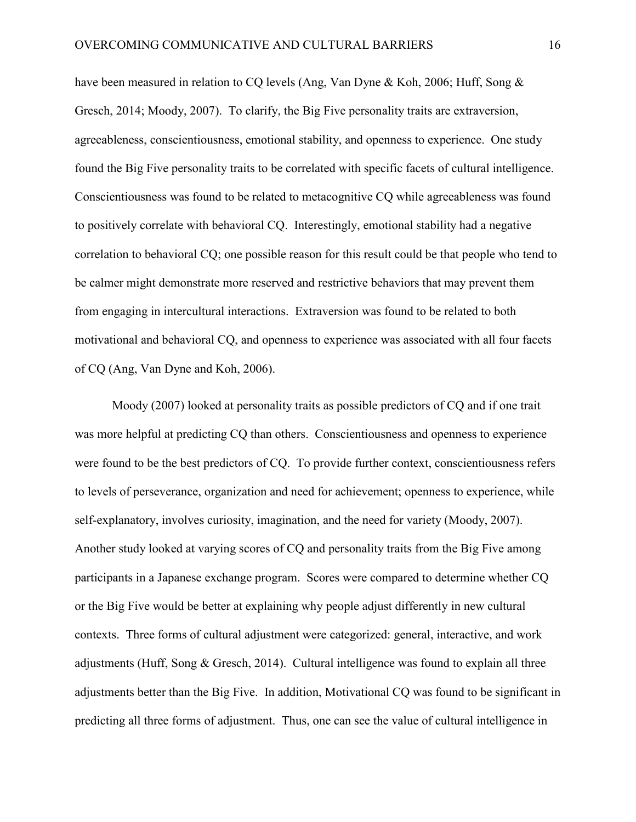have been measured in relation to CQ levels (Ang, Van Dyne & Koh, 2006; Huff, Song & Gresch, 2014; Moody, 2007). To clarify, the Big Five personality traits are extraversion, agreeableness, conscientiousness, emotional stability, and openness to experience. One study found the Big Five personality traits to be correlated with specific facets of cultural intelligence. Conscientiousness was found to be related to metacognitive CQ while agreeableness was found to positively correlate with behavioral CQ. Interestingly, emotional stability had a negative correlation to behavioral CQ; one possible reason for this result could be that people who tend to be calmer might demonstrate more reserved and restrictive behaviors that may prevent them from engaging in intercultural interactions. Extraversion was found to be related to both motivational and behavioral CQ, and openness to experience was associated with all four facets of CQ (Ang, Van Dyne and Koh, 2006).

Moody (2007) looked at personality traits as possible predictors of CQ and if one trait was more helpful at predicting CQ than others. Conscientiousness and openness to experience were found to be the best predictors of CQ. To provide further context, conscientiousness refers to levels of perseverance, organization and need for achievement; openness to experience, while self-explanatory, involves curiosity, imagination, and the need for variety (Moody, 2007). Another study looked at varying scores of CQ and personality traits from the Big Five among participants in a Japanese exchange program. Scores were compared to determine whether CQ or the Big Five would be better at explaining why people adjust differently in new cultural contexts. Three forms of cultural adjustment were categorized: general, interactive, and work adjustments (Huff, Song & Gresch, 2014). Cultural intelligence was found to explain all three adjustments better than the Big Five. In addition, Motivational CQ was found to be significant in predicting all three forms of adjustment. Thus, one can see the value of cultural intelligence in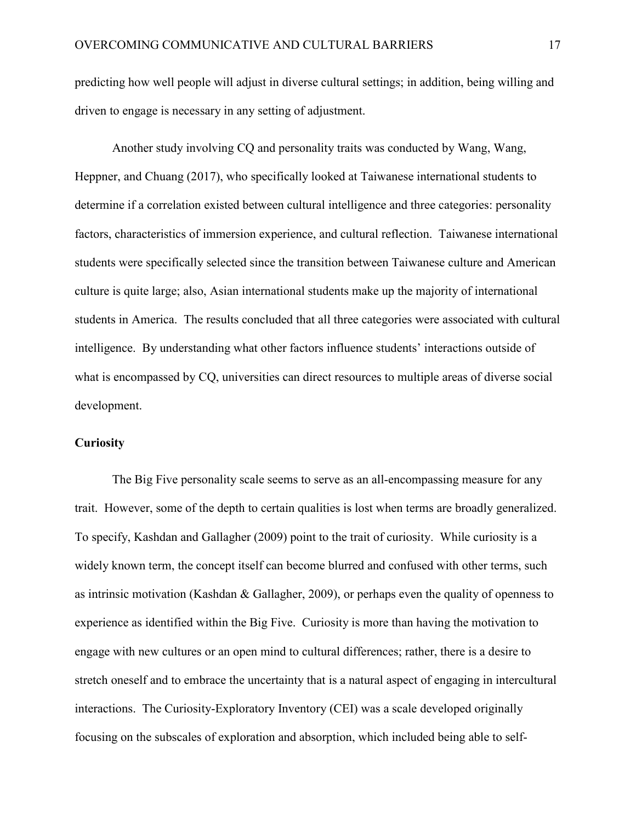predicting how well people will adjust in diverse cultural settings; in addition, being willing and driven to engage is necessary in any setting of adjustment.

Another study involving CQ and personality traits was conducted by Wang, Wang, Heppner, and Chuang (2017), who specifically looked at Taiwanese international students to determine if a correlation existed between cultural intelligence and three categories: personality factors, characteristics of immersion experience, and cultural reflection. Taiwanese international students were specifically selected since the transition between Taiwanese culture and American culture is quite large; also, Asian international students make up the majority of international students in America. The results concluded that all three categories were associated with cultural intelligence. By understanding what other factors influence students' interactions outside of what is encompassed by CQ, universities can direct resources to multiple areas of diverse social development.

## **Curiosity**

The Big Five personality scale seems to serve as an all-encompassing measure for any trait. However, some of the depth to certain qualities is lost when terms are broadly generalized. To specify, Kashdan and Gallagher (2009) point to the trait of curiosity. While curiosity is a widely known term, the concept itself can become blurred and confused with other terms, such as intrinsic motivation (Kashdan & Gallagher, 2009), or perhaps even the quality of openness to experience as identified within the Big Five. Curiosity is more than having the motivation to engage with new cultures or an open mind to cultural differences; rather, there is a desire to stretch oneself and to embrace the uncertainty that is a natural aspect of engaging in intercultural interactions. The Curiosity-Exploratory Inventory (CEI) was a scale developed originally focusing on the subscales of exploration and absorption, which included being able to self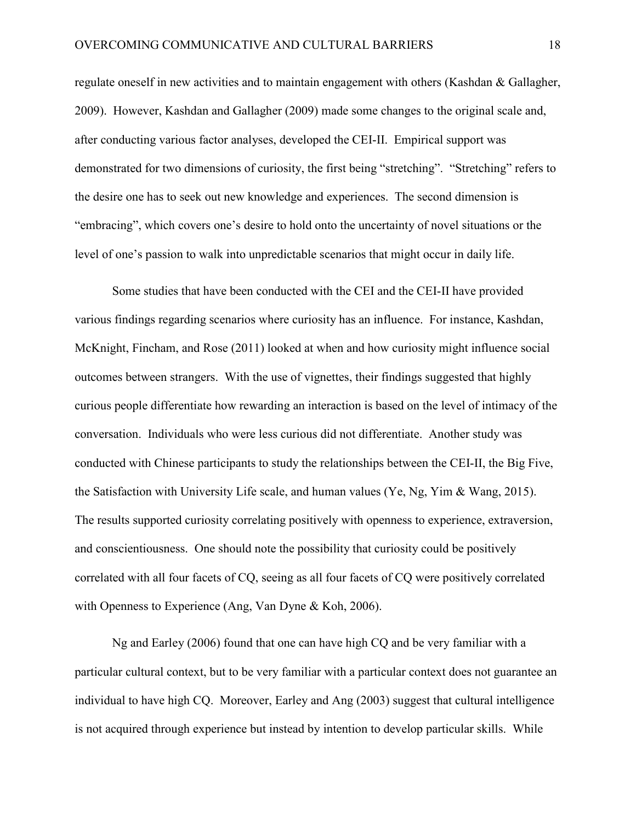regulate oneself in new activities and to maintain engagement with others (Kashdan & Gallagher, 2009). However, Kashdan and Gallagher (2009) made some changes to the original scale and, after conducting various factor analyses, developed the CEI-II. Empirical support was demonstrated for two dimensions of curiosity, the first being "stretching". "Stretching" refers to the desire one has to seek out new knowledge and experiences. The second dimension is "embracing", which covers one's desire to hold onto the uncertainty of novel situations or the level of one's passion to walk into unpredictable scenarios that might occur in daily life.

Some studies that have been conducted with the CEI and the CEI-II have provided various findings regarding scenarios where curiosity has an influence. For instance, Kashdan, McKnight, Fincham, and Rose (2011) looked at when and how curiosity might influence social outcomes between strangers. With the use of vignettes, their findings suggested that highly curious people differentiate how rewarding an interaction is based on the level of intimacy of the conversation. Individuals who were less curious did not differentiate. Another study was conducted with Chinese participants to study the relationships between the CEI-II, the Big Five, the Satisfaction with University Life scale, and human values (Ye, Ng, Yim & Wang, 2015). The results supported curiosity correlating positively with openness to experience, extraversion, and conscientiousness. One should note the possibility that curiosity could be positively correlated with all four facets of CQ, seeing as all four facets of CQ were positively correlated with Openness to Experience (Ang, Van Dyne & Koh, 2006).

Ng and Earley (2006) found that one can have high CQ and be very familiar with a particular cultural context, but to be very familiar with a particular context does not guarantee an individual to have high CQ. Moreover, Earley and Ang (2003) suggest that cultural intelligence is not acquired through experience but instead by intention to develop particular skills. While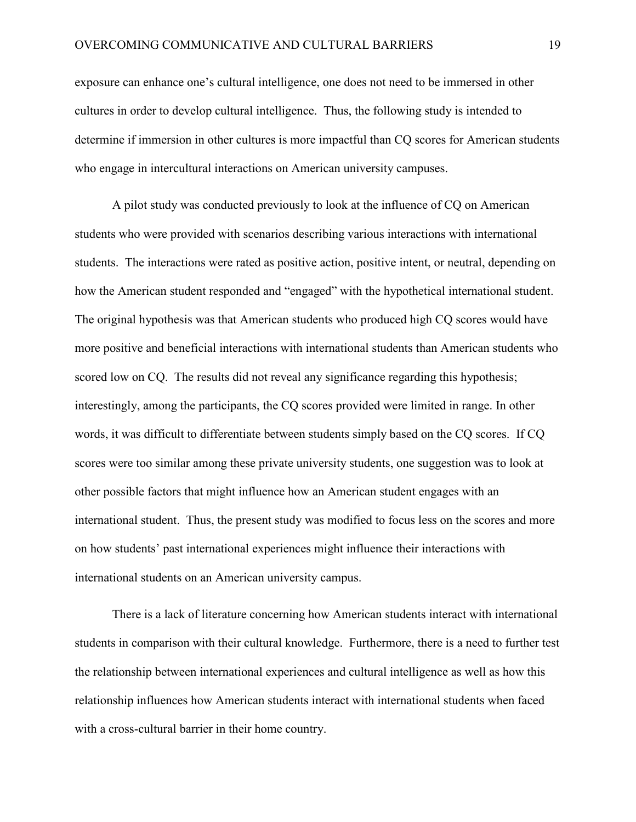exposure can enhance one's cultural intelligence, one does not need to be immersed in other cultures in order to develop cultural intelligence. Thus, the following study is intended to determine if immersion in other cultures is more impactful than CQ scores for American students who engage in intercultural interactions on American university campuses.

A pilot study was conducted previously to look at the influence of CQ on American students who were provided with scenarios describing various interactions with international students. The interactions were rated as positive action, positive intent, or neutral, depending on how the American student responded and "engaged" with the hypothetical international student. The original hypothesis was that American students who produced high CQ scores would have more positive and beneficial interactions with international students than American students who scored low on CQ. The results did not reveal any significance regarding this hypothesis; interestingly, among the participants, the CQ scores provided were limited in range. In other words, it was difficult to differentiate between students simply based on the CQ scores. If CQ scores were too similar among these private university students, one suggestion was to look at other possible factors that might influence how an American student engages with an international student. Thus, the present study was modified to focus less on the scores and more on how students' past international experiences might influence their interactions with international students on an American university campus.

There is a lack of literature concerning how American students interact with international students in comparison with their cultural knowledge. Furthermore, there is a need to further test the relationship between international experiences and cultural intelligence as well as how this relationship influences how American students interact with international students when faced with a cross-cultural barrier in their home country.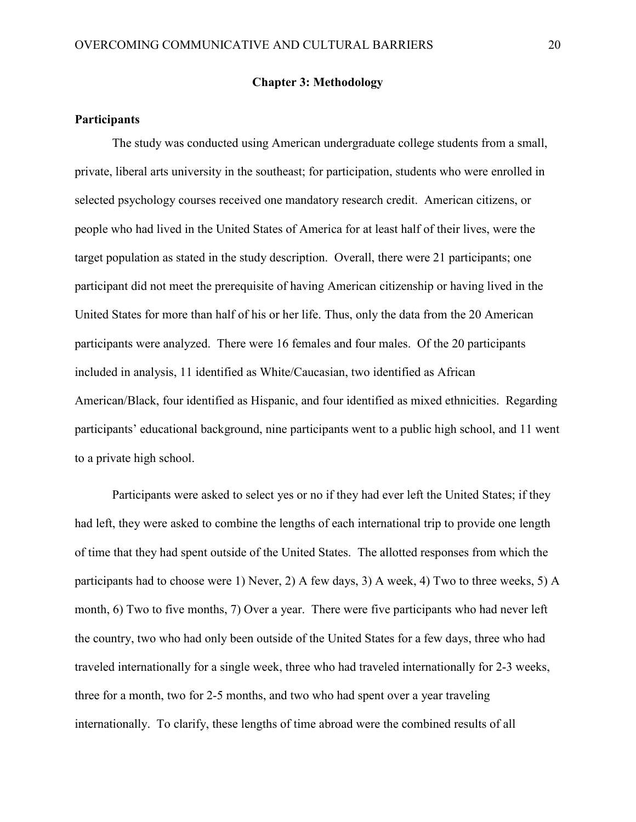#### **Chapter 3: Methodology**

#### **Participants**

The study was conducted using American undergraduate college students from a small, private, liberal arts university in the southeast; for participation, students who were enrolled in selected psychology courses received one mandatory research credit. American citizens, or people who had lived in the United States of America for at least half of their lives, were the target population as stated in the study description. Overall, there were 21 participants; one participant did not meet the prerequisite of having American citizenship or having lived in the United States for more than half of his or her life. Thus, only the data from the 20 American participants were analyzed. There were 16 females and four males. Of the 20 participants included in analysis, 11 identified as White/Caucasian, two identified as African American/Black, four identified as Hispanic, and four identified as mixed ethnicities. Regarding participants' educational background, nine participants went to a public high school, and 11 went to a private high school.

Participants were asked to select yes or no if they had ever left the United States; if they had left, they were asked to combine the lengths of each international trip to provide one length of time that they had spent outside of the United States. The allotted responses from which the participants had to choose were 1) Never, 2) A few days, 3) A week, 4) Two to three weeks, 5) A month, 6) Two to five months, 7) Over a year. There were five participants who had never left the country, two who had only been outside of the United States for a few days, three who had traveled internationally for a single week, three who had traveled internationally for 2-3 weeks, three for a month, two for 2-5 months, and two who had spent over a year traveling internationally. To clarify, these lengths of time abroad were the combined results of all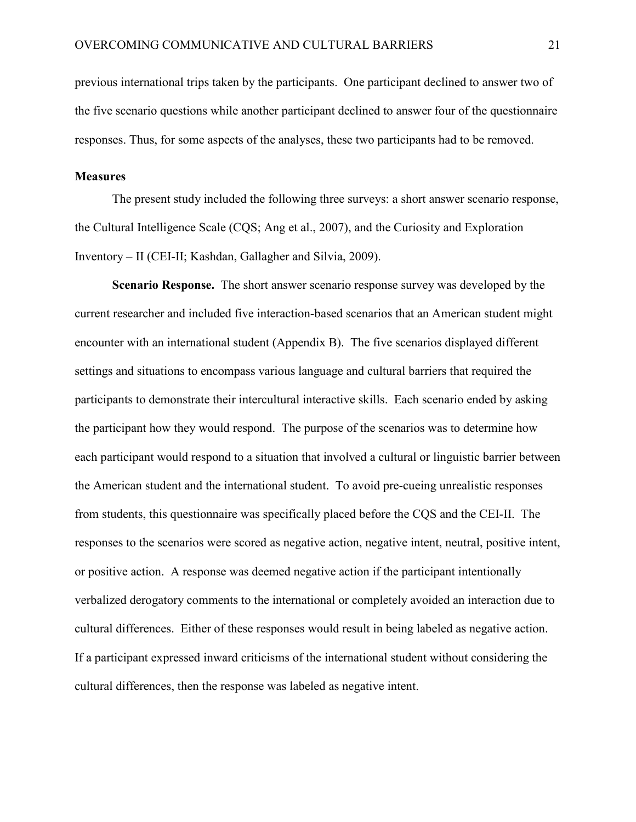previous international trips taken by the participants. One participant declined to answer two of the five scenario questions while another participant declined to answer four of the questionnaire responses. Thus, for some aspects of the analyses, these two participants had to be removed.

#### **Measures**

The present study included the following three surveys: a short answer scenario response, the Cultural Intelligence Scale (CQS; Ang et al., 2007), and the Curiosity and Exploration Inventory – II (CEI-II; Kashdan, Gallagher and Silvia, 2009).

**Scenario Response.** The short answer scenario response survey was developed by the current researcher and included five interaction-based scenarios that an American student might encounter with an international student (Appendix B). The five scenarios displayed different settings and situations to encompass various language and cultural barriers that required the participants to demonstrate their intercultural interactive skills. Each scenario ended by asking the participant how they would respond. The purpose of the scenarios was to determine how each participant would respond to a situation that involved a cultural or linguistic barrier between the American student and the international student. To avoid pre-cueing unrealistic responses from students, this questionnaire was specifically placed before the CQS and the CEI-II. The responses to the scenarios were scored as negative action, negative intent, neutral, positive intent, or positive action. A response was deemed negative action if the participant intentionally verbalized derogatory comments to the international or completely avoided an interaction due to cultural differences. Either of these responses would result in being labeled as negative action. If a participant expressed inward criticisms of the international student without considering the cultural differences, then the response was labeled as negative intent.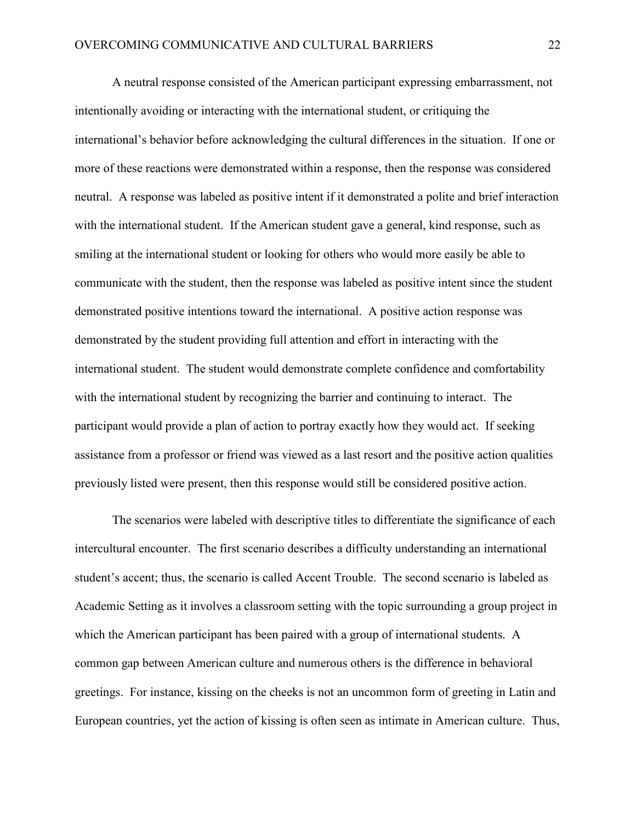A neutral response consisted of the American participant expressing embarrassment, not intentionally avoiding or interacting with the international student, or critiquing the international's behavior before acknowledging the cultural differences in the situation. If one or more of these reactions were demonstrated within a response, then the response was considered neutral. A response was labeled as positive intent if it demonstrated a polite and brief interaction with the international student. If the American student gave a general, kind response, such as smiling at the international student or looking for others who would more easily be able to communicate with the student, then the response was labeled as positive intent since the student demonstrated positive intentions toward the international. A positive action response was demonstrated by the student providing full attention and effort in interacting with the international student. The student would demonstrate complete confidence and comfortability with the international student by recognizing the barrier and continuing to interact. The participant would provide a plan of action to portray exactly how they would act. If seeking assistance from a professor or friend was viewed as a last resort and the positive action qualities previously listed were present, then this response would still be considered positive action.

The scenarios were labeled with descriptive titles to differentiate the significance of each intercultural encounter. The first scenario describes a difficulty understanding an international student's accent; thus, the scenario is called Accent Trouble. The second scenario is labeled as Academic Setting as it involves a classroom setting with the topic surrounding a group project in which the American participant has been paired with a group of international students. A common gap between American culture and numerous others is the difference in behavioral greetings. For instance, kissing on the cheeks is not an uncommon form of greeting in Latin and European countries, yet the action of kissing is often seen as intimate in American culture. Thus,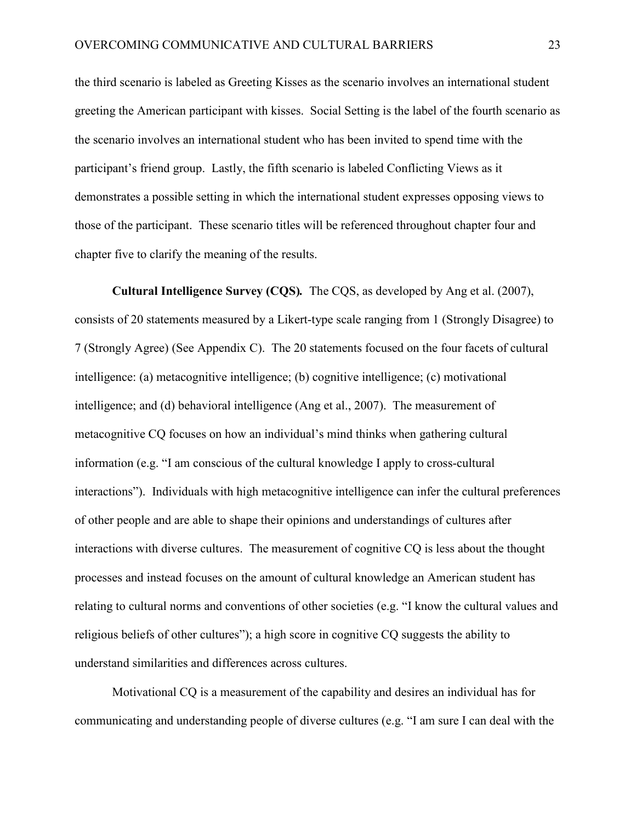the third scenario is labeled as Greeting Kisses as the scenario involves an international student greeting the American participant with kisses. Social Setting is the label of the fourth scenario as the scenario involves an international student who has been invited to spend time with the participant's friend group. Lastly, the fifth scenario is labeled Conflicting Views as it demonstrates a possible setting in which the international student expresses opposing views to those of the participant. These scenario titles will be referenced throughout chapter four and chapter five to clarify the meaning of the results.

**Cultural Intelligence Survey (CQS)***.* The CQS, as developed by Ang et al. (2007), consists of 20 statements measured by a Likert-type scale ranging from 1 (Strongly Disagree) to 7 (Strongly Agree) (See Appendix C). The 20 statements focused on the four facets of cultural intelligence: (a) metacognitive intelligence; (b) cognitive intelligence; (c) motivational intelligence; and (d) behavioral intelligence (Ang et al., 2007). The measurement of metacognitive CQ focuses on how an individual's mind thinks when gathering cultural information (e.g. "I am conscious of the cultural knowledge I apply to cross-cultural interactions"). Individuals with high metacognitive intelligence can infer the cultural preferences of other people and are able to shape their opinions and understandings of cultures after interactions with diverse cultures. The measurement of cognitive CQ is less about the thought processes and instead focuses on the amount of cultural knowledge an American student has relating to cultural norms and conventions of other societies (e.g. "I know the cultural values and religious beliefs of other cultures"); a high score in cognitive CQ suggests the ability to understand similarities and differences across cultures.

Motivational CQ is a measurement of the capability and desires an individual has for communicating and understanding people of diverse cultures (e.g. "I am sure I can deal with the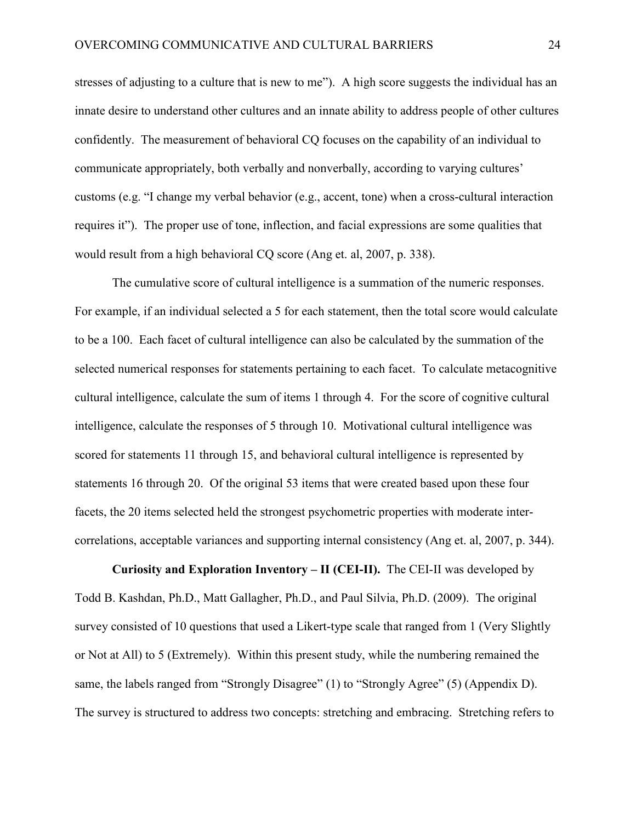stresses of adjusting to a culture that is new to me"). A high score suggests the individual has an innate desire to understand other cultures and an innate ability to address people of other cultures confidently. The measurement of behavioral CQ focuses on the capability of an individual to communicate appropriately, both verbally and nonverbally, according to varying cultures' customs (e.g. "I change my verbal behavior (e.g., accent, tone) when a cross-cultural interaction requires it"). The proper use of tone, inflection, and facial expressions are some qualities that would result from a high behavioral CQ score (Ang et. al, 2007, p. 338).

The cumulative score of cultural intelligence is a summation of the numeric responses. For example, if an individual selected a 5 for each statement, then the total score would calculate to be a 100. Each facet of cultural intelligence can also be calculated by the summation of the selected numerical responses for statements pertaining to each facet. To calculate metacognitive cultural intelligence, calculate the sum of items 1 through 4. For the score of cognitive cultural intelligence, calculate the responses of 5 through 10. Motivational cultural intelligence was scored for statements 11 through 15, and behavioral cultural intelligence is represented by statements 16 through 20. Of the original 53 items that were created based upon these four facets, the 20 items selected held the strongest psychometric properties with moderate intercorrelations, acceptable variances and supporting internal consistency (Ang et. al, 2007, p. 344).

**Curiosity and Exploration Inventory – II (CEI-II).** The CEI-II was developed by Todd B. Kashdan, Ph.D., Matt Gallagher, Ph.D., and Paul Silvia, Ph.D. (2009). The original survey consisted of 10 questions that used a Likert-type scale that ranged from 1 (Very Slightly or Not at All) to 5 (Extremely). Within this present study, while the numbering remained the same, the labels ranged from "Strongly Disagree" (1) to "Strongly Agree" (5) (Appendix D). The survey is structured to address two concepts: stretching and embracing. Stretching refers to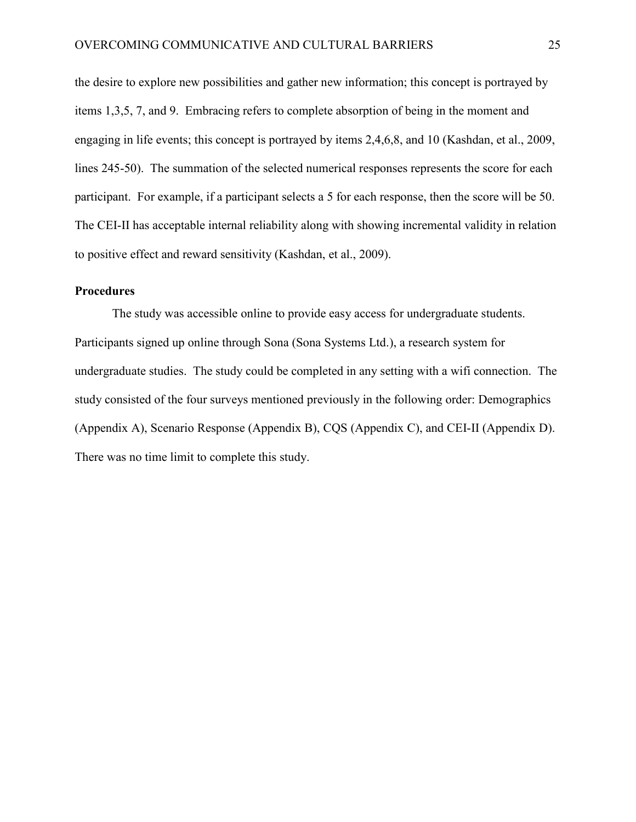the desire to explore new possibilities and gather new information; this concept is portrayed by items 1,3,5, 7, and 9. Embracing refers to complete absorption of being in the moment and engaging in life events; this concept is portrayed by items 2,4,6,8, and 10 (Kashdan, et al., 2009, lines 245-50). The summation of the selected numerical responses represents the score for each participant. For example, if a participant selects a 5 for each response, then the score will be 50. The CEI-II has acceptable internal reliability along with showing incremental validity in relation to positive effect and reward sensitivity (Kashdan, et al., 2009).

## **Procedures**

The study was accessible online to provide easy access for undergraduate students. Participants signed up online through Sona (Sona Systems Ltd.), a research system for undergraduate studies. The study could be completed in any setting with a wifi connection. The study consisted of the four surveys mentioned previously in the following order: Demographics (Appendix A), Scenario Response (Appendix B), CQS (Appendix C), and CEI-II (Appendix D). There was no time limit to complete this study.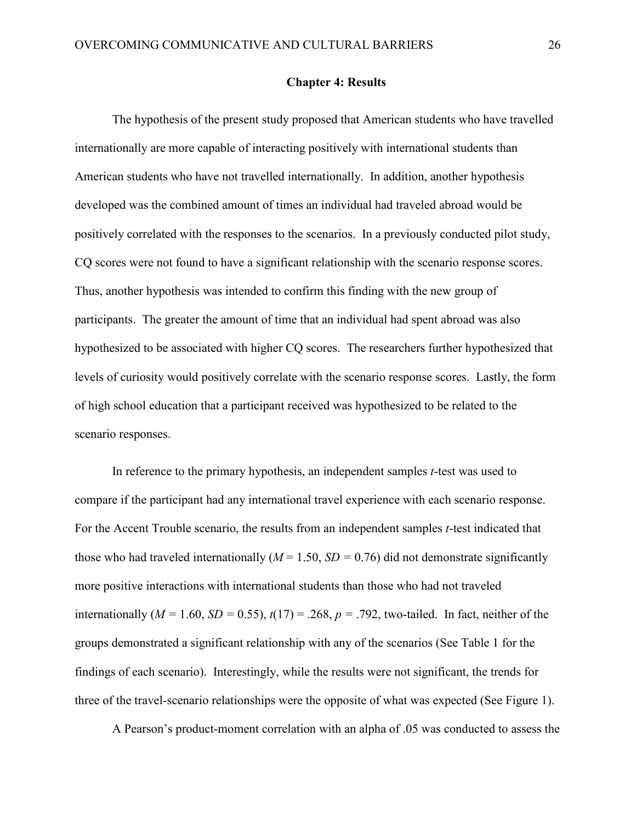#### **Chapter 4: Results**

The hypothesis of the present study proposed that American students who have travelled internationally are more capable of interacting positively with international students than American students who have not travelled internationally. In addition, another hypothesis developed was the combined amount of times an individual had traveled abroad would be positively correlated with the responses to the scenarios. In a previously conducted pilot study, CQ scores were not found to have a significant relationship with the scenario response scores. Thus, another hypothesis was intended to confirm this finding with the new group of participants. The greater the amount of time that an individual had spent abroad was also hypothesized to be associated with higher CQ scores. The researchers further hypothesized that levels of curiosity would positively correlate with the scenario response scores. Lastly, the form of high school education that a participant received was hypothesized to be related to the scenario responses.

In reference to the primary hypothesis, an independent samples *t*-test was used to compare if the participant had any international travel experience with each scenario response. For the Accent Trouble scenario, the results from an independent samples *t*-test indicated that those who had traveled internationally  $(M = 1.50, SD = 0.76)$  did not demonstrate significantly more positive interactions with international students than those who had not traveled internationally ( $M = 1.60$ ,  $SD = 0.55$ ),  $t(17) = .268$ ,  $p = .792$ , two-tailed. In fact, neither of the groups demonstrated a significant relationship with any of the scenarios (See Table 1 for the findings of each scenario). Interestingly, while the results were not significant, the trends for three of the travel-scenario relationships were the opposite of what was expected (See Figure 1).

A Pearson's product-moment correlation with an alpha of .05 was conducted to assess the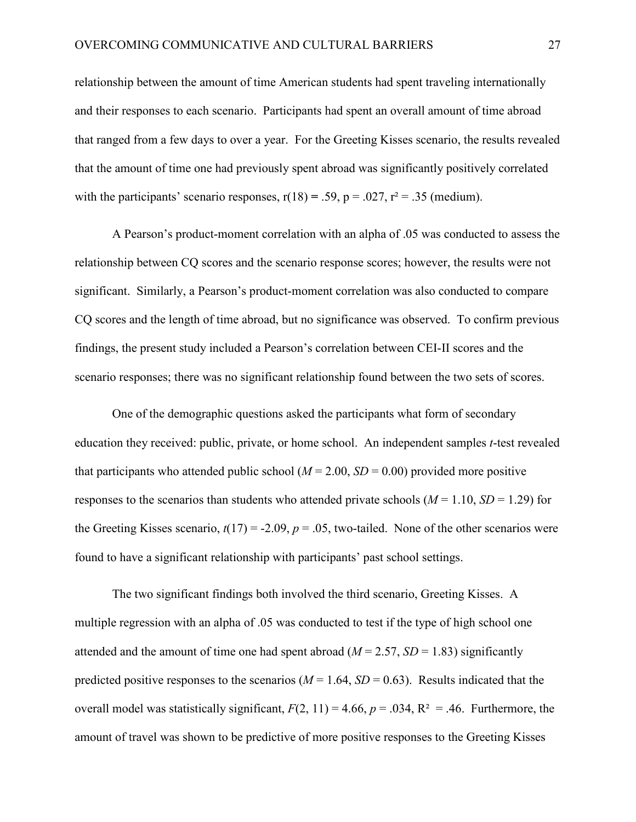relationship between the amount of time American students had spent traveling internationally and their responses to each scenario. Participants had spent an overall amount of time abroad that ranged from a few days to over a year. For the Greeting Kisses scenario, the results revealed that the amount of time one had previously spent abroad was significantly positively correlated with the participants' scenario responses,  $r(18) = .59$ ,  $p = .027$ ,  $r^2 = .35$  (medium).

A Pearson's product-moment correlation with an alpha of .05 was conducted to assess the relationship between CQ scores and the scenario response scores; however, the results were not significant. Similarly, a Pearson's product-moment correlation was also conducted to compare CQ scores and the length of time abroad, but no significance was observed. To confirm previous findings, the present study included a Pearson's correlation between CEI-II scores and the scenario responses; there was no significant relationship found between the two sets of scores.

One of the demographic questions asked the participants what form of secondary education they received: public, private, or home school. An independent samples *t*-test revealed that participants who attended public school  $(M = 2.00, SD = 0.00)$  provided more positive responses to the scenarios than students who attended private schools  $(M = 1.10, SD = 1.29)$  for the Greeting Kisses scenario,  $t(17) = -2.09$ ,  $p = .05$ , two-tailed. None of the other scenarios were found to have a significant relationship with participants' past school settings.

The two significant findings both involved the third scenario, Greeting Kisses. A multiple regression with an alpha of .05 was conducted to test if the type of high school one attended and the amount of time one had spent abroad  $(M = 2.57, SD = 1.83)$  significantly predicted positive responses to the scenarios  $(M = 1.64, SD = 0.63)$ . Results indicated that the overall model was statistically significant,  $F(2, 11) = 4.66$ ,  $p = .034$ ,  $R^2 = .46$ . Furthermore, the amount of travel was shown to be predictive of more positive responses to the Greeting Kisses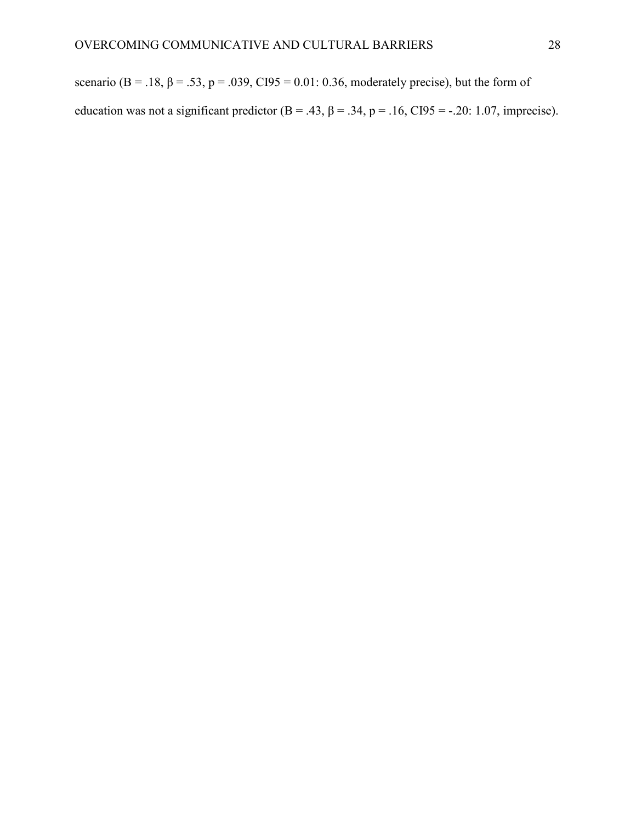scenario (B = .18,  $\beta$  = .53, p = .039, CI95 = 0.01: 0.36, moderately precise), but the form of education was not a significant predictor  $(B = .43, \beta = .34, p = .16, CI95 = -.20: 1.07$ , imprecise).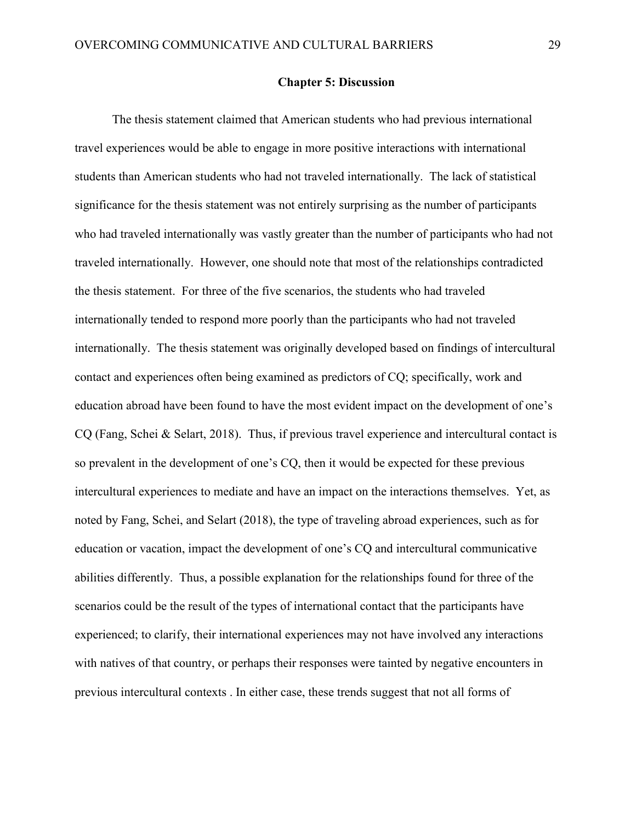#### **Chapter 5: Discussion**

The thesis statement claimed that American students who had previous international travel experiences would be able to engage in more positive interactions with international students than American students who had not traveled internationally. The lack of statistical significance for the thesis statement was not entirely surprising as the number of participants who had traveled internationally was vastly greater than the number of participants who had not traveled internationally. However, one should note that most of the relationships contradicted the thesis statement. For three of the five scenarios, the students who had traveled internationally tended to respond more poorly than the participants who had not traveled internationally. The thesis statement was originally developed based on findings of intercultural contact and experiences often being examined as predictors of CQ; specifically, work and education abroad have been found to have the most evident impact on the development of one's CQ (Fang, Schei & Selart, 2018). Thus, if previous travel experience and intercultural contact is so prevalent in the development of one's CQ, then it would be expected for these previous intercultural experiences to mediate and have an impact on the interactions themselves. Yet, as noted by Fang, Schei, and Selart (2018), the type of traveling abroad experiences, such as for education or vacation, impact the development of one's CQ and intercultural communicative abilities differently. Thus, a possible explanation for the relationships found for three of the scenarios could be the result of the types of international contact that the participants have experienced; to clarify, their international experiences may not have involved any interactions with natives of that country, or perhaps their responses were tainted by negative encounters in previous intercultural contexts . In either case, these trends suggest that not all forms of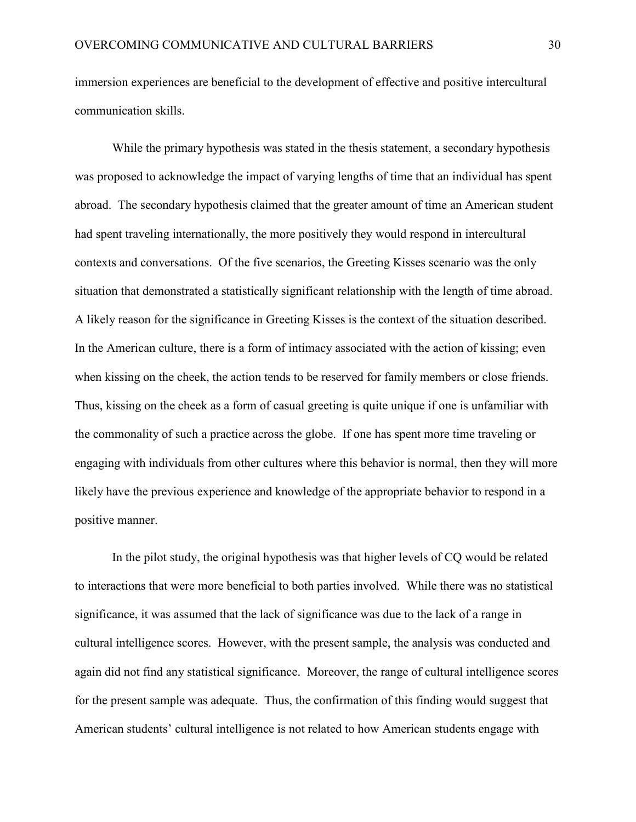immersion experiences are beneficial to the development of effective and positive intercultural communication skills.

While the primary hypothesis was stated in the thesis statement, a secondary hypothesis was proposed to acknowledge the impact of varying lengths of time that an individual has spent abroad. The secondary hypothesis claimed that the greater amount of time an American student had spent traveling internationally, the more positively they would respond in intercultural contexts and conversations. Of the five scenarios, the Greeting Kisses scenario was the only situation that demonstrated a statistically significant relationship with the length of time abroad. A likely reason for the significance in Greeting Kisses is the context of the situation described. In the American culture, there is a form of intimacy associated with the action of kissing; even when kissing on the cheek, the action tends to be reserved for family members or close friends. Thus, kissing on the cheek as a form of casual greeting is quite unique if one is unfamiliar with the commonality of such a practice across the globe. If one has spent more time traveling or engaging with individuals from other cultures where this behavior is normal, then they will more likely have the previous experience and knowledge of the appropriate behavior to respond in a positive manner.

In the pilot study, the original hypothesis was that higher levels of CQ would be related to interactions that were more beneficial to both parties involved. While there was no statistical significance, it was assumed that the lack of significance was due to the lack of a range in cultural intelligence scores. However, with the present sample, the analysis was conducted and again did not find any statistical significance. Moreover, the range of cultural intelligence scores for the present sample was adequate. Thus, the confirmation of this finding would suggest that American students' cultural intelligence is not related to how American students engage with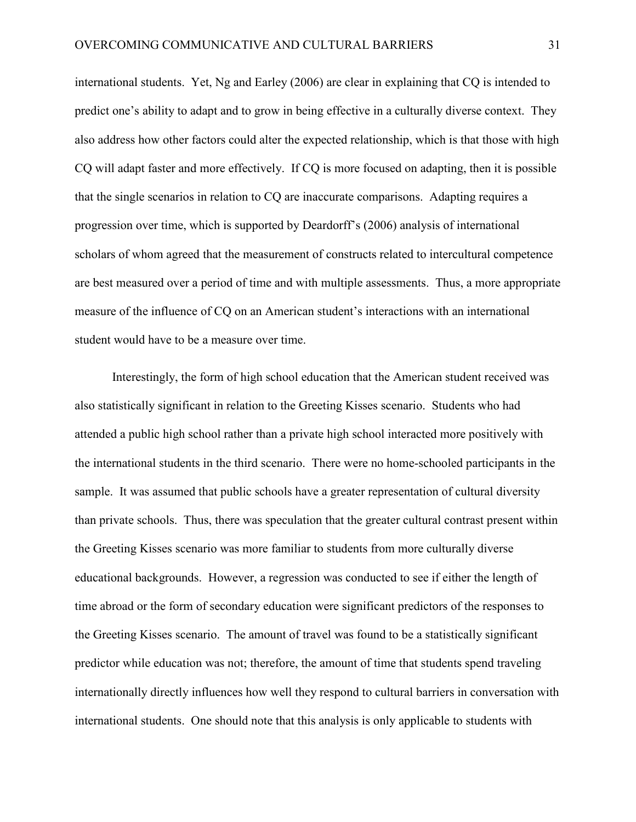international students. Yet, Ng and Earley (2006) are clear in explaining that CQ is intended to predict one's ability to adapt and to grow in being effective in a culturally diverse context. They also address how other factors could alter the expected relationship, which is that those with high CQ will adapt faster and more effectively. If CQ is more focused on adapting, then it is possible that the single scenarios in relation to CQ are inaccurate comparisons. Adapting requires a progression over time, which is supported by Deardorff's (2006) analysis of international scholars of whom agreed that the measurement of constructs related to intercultural competence are best measured over a period of time and with multiple assessments. Thus, a more appropriate measure of the influence of CQ on an American student's interactions with an international student would have to be a measure over time.

Interestingly, the form of high school education that the American student received was also statistically significant in relation to the Greeting Kisses scenario. Students who had attended a public high school rather than a private high school interacted more positively with the international students in the third scenario. There were no home-schooled participants in the sample. It was assumed that public schools have a greater representation of cultural diversity than private schools. Thus, there was speculation that the greater cultural contrast present within the Greeting Kisses scenario was more familiar to students from more culturally diverse educational backgrounds. However, a regression was conducted to see if either the length of time abroad or the form of secondary education were significant predictors of the responses to the Greeting Kisses scenario. The amount of travel was found to be a statistically significant predictor while education was not; therefore, the amount of time that students spend traveling internationally directly influences how well they respond to cultural barriers in conversation with international students. One should note that this analysis is only applicable to students with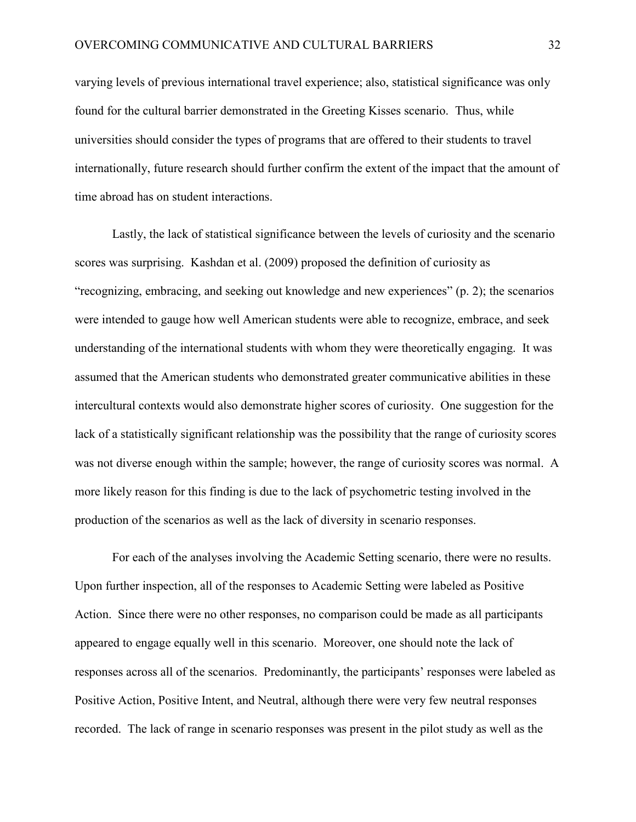varying levels of previous international travel experience; also, statistical significance was only found for the cultural barrier demonstrated in the Greeting Kisses scenario. Thus, while universities should consider the types of programs that are offered to their students to travel internationally, future research should further confirm the extent of the impact that the amount of time abroad has on student interactions.

Lastly, the lack of statistical significance between the levels of curiosity and the scenario scores was surprising. Kashdan et al. (2009) proposed the definition of curiosity as "recognizing, embracing, and seeking out knowledge and new experiences" (p. 2); the scenarios were intended to gauge how well American students were able to recognize, embrace, and seek understanding of the international students with whom they were theoretically engaging. It was assumed that the American students who demonstrated greater communicative abilities in these intercultural contexts would also demonstrate higher scores of curiosity. One suggestion for the lack of a statistically significant relationship was the possibility that the range of curiosity scores was not diverse enough within the sample; however, the range of curiosity scores was normal. A more likely reason for this finding is due to the lack of psychometric testing involved in the production of the scenarios as well as the lack of diversity in scenario responses.

For each of the analyses involving the Academic Setting scenario, there were no results. Upon further inspection, all of the responses to Academic Setting were labeled as Positive Action. Since there were no other responses, no comparison could be made as all participants appeared to engage equally well in this scenario. Moreover, one should note the lack of responses across all of the scenarios. Predominantly, the participants' responses were labeled as Positive Action, Positive Intent, and Neutral, although there were very few neutral responses recorded. The lack of range in scenario responses was present in the pilot study as well as the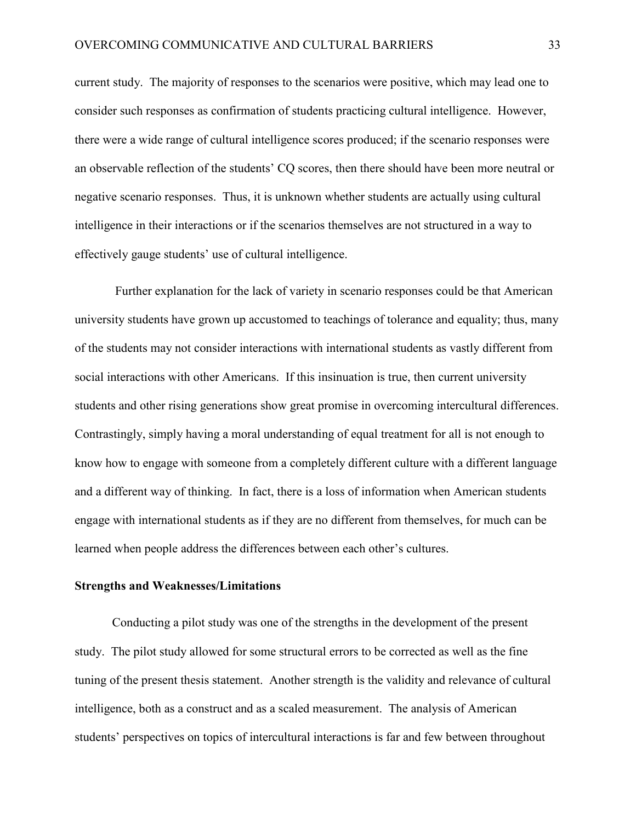current study. The majority of responses to the scenarios were positive, which may lead one to consider such responses as confirmation of students practicing cultural intelligence. However, there were a wide range of cultural intelligence scores produced; if the scenario responses were an observable reflection of the students' CQ scores, then there should have been more neutral or negative scenario responses. Thus, it is unknown whether students are actually using cultural intelligence in their interactions or if the scenarios themselves are not structured in a way to effectively gauge students' use of cultural intelligence.

Further explanation for the lack of variety in scenario responses could be that American university students have grown up accustomed to teachings of tolerance and equality; thus, many of the students may not consider interactions with international students as vastly different from social interactions with other Americans. If this insinuation is true, then current university students and other rising generations show great promise in overcoming intercultural differences. Contrastingly, simply having a moral understanding of equal treatment for all is not enough to know how to engage with someone from a completely different culture with a different language and a different way of thinking. In fact, there is a loss of information when American students engage with international students as if they are no different from themselves, for much can be learned when people address the differences between each other's cultures.

#### **Strengths and Weaknesses/Limitations**

Conducting a pilot study was one of the strengths in the development of the present study. The pilot study allowed for some structural errors to be corrected as well as the fine tuning of the present thesis statement. Another strength is the validity and relevance of cultural intelligence, both as a construct and as a scaled measurement. The analysis of American students' perspectives on topics of intercultural interactions is far and few between throughout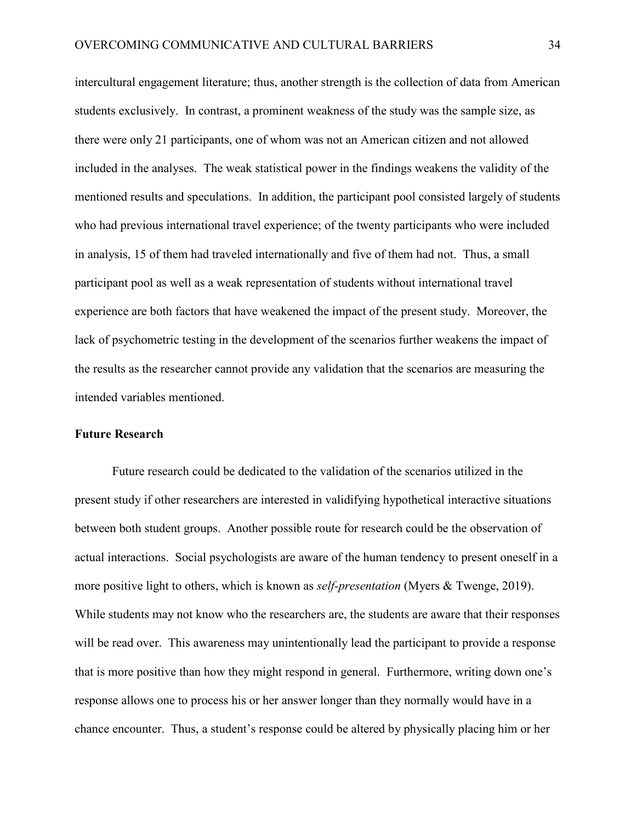intercultural engagement literature; thus, another strength is the collection of data from American students exclusively. In contrast, a prominent weakness of the study was the sample size, as there were only 21 participants, one of whom was not an American citizen and not allowed included in the analyses. The weak statistical power in the findings weakens the validity of the mentioned results and speculations. In addition, the participant pool consisted largely of students who had previous international travel experience; of the twenty participants who were included in analysis, 15 of them had traveled internationally and five of them had not. Thus, a small participant pool as well as a weak representation of students without international travel experience are both factors that have weakened the impact of the present study. Moreover, the lack of psychometric testing in the development of the scenarios further weakens the impact of the results as the researcher cannot provide any validation that the scenarios are measuring the intended variables mentioned.

#### **Future Research**

Future research could be dedicated to the validation of the scenarios utilized in the present study if other researchers are interested in validifying hypothetical interactive situations between both student groups. Another possible route for research could be the observation of actual interactions. Social psychologists are aware of the human tendency to present oneself in a more positive light to others, which is known as *self-presentation* (Myers & Twenge, 2019). While students may not know who the researchers are, the students are aware that their responses will be read over. This awareness may unintentionally lead the participant to provide a response that is more positive than how they might respond in general. Furthermore, writing down one's response allows one to process his or her answer longer than they normally would have in a chance encounter. Thus, a student's response could be altered by physically placing him or her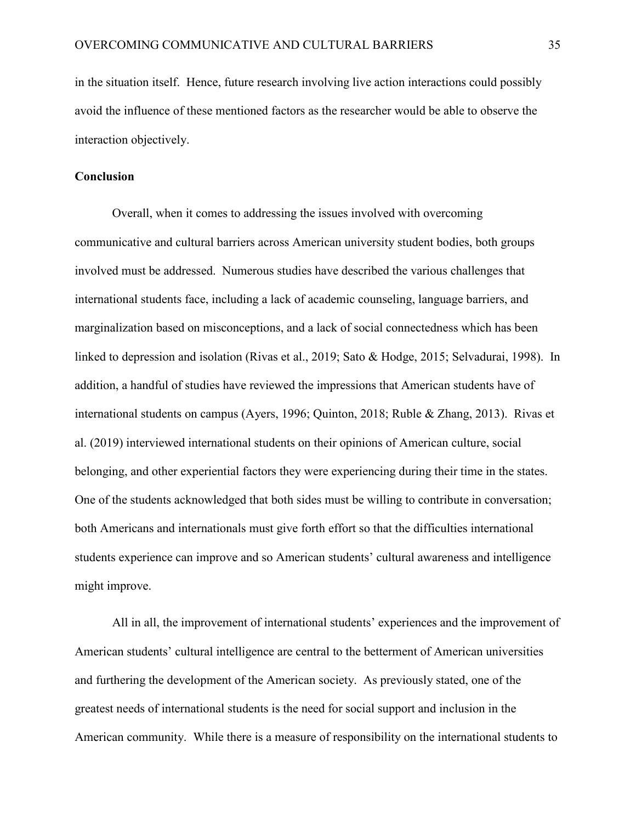in the situation itself. Hence, future research involving live action interactions could possibly avoid the influence of these mentioned factors as the researcher would be able to observe the interaction objectively.

#### **Conclusion**

Overall, when it comes to addressing the issues involved with overcoming communicative and cultural barriers across American university student bodies, both groups involved must be addressed. Numerous studies have described the various challenges that international students face, including a lack of academic counseling, language barriers, and marginalization based on misconceptions, and a lack of social connectedness which has been linked to depression and isolation (Rivas et al., 2019; Sato & Hodge, 2015; Selvadurai, 1998). In addition, a handful of studies have reviewed the impressions that American students have of international students on campus (Ayers, 1996; Quinton, 2018; Ruble & Zhang, 2013). Rivas et al. (2019) interviewed international students on their opinions of American culture, social belonging, and other experiential factors they were experiencing during their time in the states. One of the students acknowledged that both sides must be willing to contribute in conversation; both Americans and internationals must give forth effort so that the difficulties international students experience can improve and so American students' cultural awareness and intelligence might improve.

All in all, the improvement of international students' experiences and the improvement of American students' cultural intelligence are central to the betterment of American universities and furthering the development of the American society. As previously stated, one of the greatest needs of international students is the need for social support and inclusion in the American community. While there is a measure of responsibility on the international students to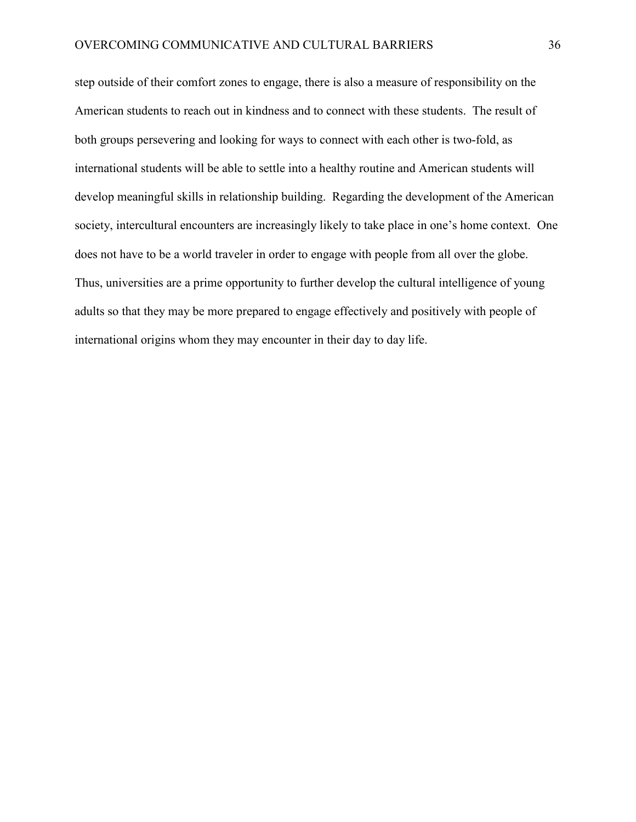step outside of their comfort zones to engage, there is also a measure of responsibility on the American students to reach out in kindness and to connect with these students. The result of both groups persevering and looking for ways to connect with each other is two-fold, as international students will be able to settle into a healthy routine and American students will develop meaningful skills in relationship building. Regarding the development of the American society, intercultural encounters are increasingly likely to take place in one's home context. One does not have to be a world traveler in order to engage with people from all over the globe. Thus, universities are a prime opportunity to further develop the cultural intelligence of young adults so that they may be more prepared to engage effectively and positively with people of international origins whom they may encounter in their day to day life.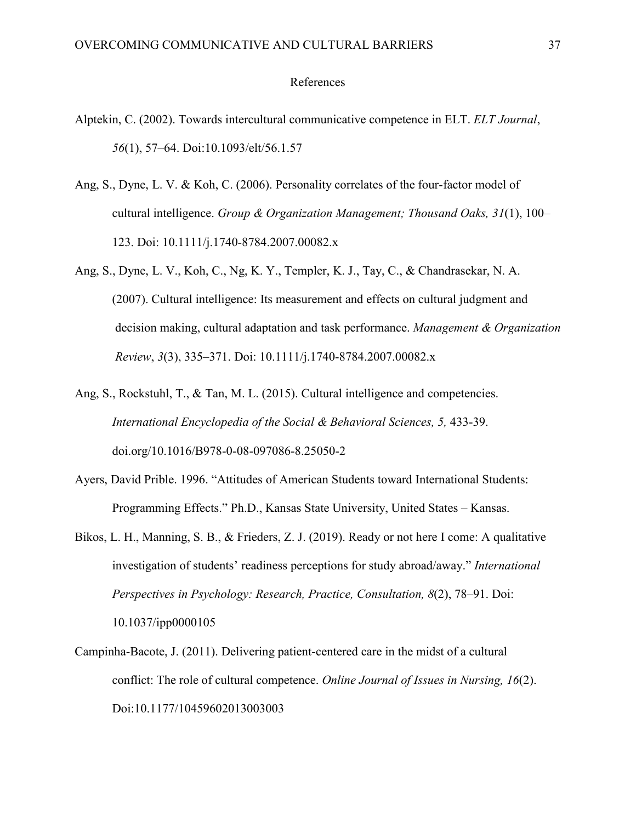#### References

- Alptekin, C. (2002). Towards intercultural communicative competence in ELT. *ELT Journal*, *56*(1), 57–64. Doi:10.1093/elt/56.1.57
- Ang, S., Dyne, L. V. & Koh, C. (2006). Personality correlates of the four-factor model of cultural intelligence. *Group & Organization Management; Thousand Oaks, 31*(1), 100– 123. Doi: 10.1111/j.1740-8784.2007.00082.x
- Ang, S., Dyne, L. V., Koh, C., Ng, K. Y., Templer, K. J., Tay, C., & Chandrasekar, N. A. (2007). Cultural intelligence: Its measurement and effects on cultural judgment and decision making, cultural adaptation and task performance. *Management & Organization Review*, *3*(3), 335–371. Doi: 10.1111/j.1740-8784.2007.00082.x
- Ang, S., Rockstuhl, T., & Tan, M. L. (2015). Cultural intelligence and competencies. *International Encyclopedia of the Social & Behavioral Sciences, 5,* 433-39. [doi.org/10.1016/B978-0-08-097086-8.25050-2](https://doi.org/10.1016/B978-0-08-097086-8.25050-2)
- Ayers, David Prible. 1996. "Attitudes of American Students toward International Students: Programming Effects." Ph.D., Kansas State University, United States – Kansas.
- Bikos, L. H., Manning, S. B., & Frieders, Z. J. (2019). Ready or not here I come: A qualitative investigation of students' readiness perceptions for study abroad/away." *International Perspectives in Psychology: Research, Practice, Consultation, 8*(2), 78–91. Doi: 10.1037/ipp0000105
- Campinha-Bacote, J. (2011). Delivering patient-centered care in the midst of a cultural conflict: The role of cultural competence. *Online Journal of Issues in Nursing, 16*(2). Doi:10.1177/10459602013003003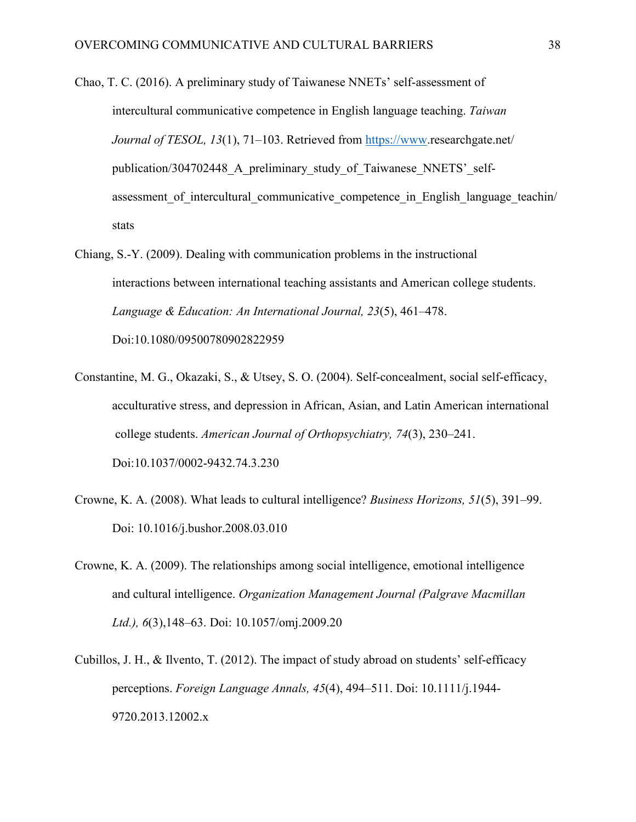Chao, T. C. (2016). A preliminary study of Taiwanese NNETs' self-assessment of intercultural communicative competence in English language teaching. *Taiwan Journal of TESOL, 13*(1), 71–103. Retrieved from [https://www.](https://www/)researchgate.net/ publication/304702448 A\_preliminary\_study\_of\_Taiwanese\_NNETS'\_selfassessment of intercultural communicative competence in English language teachin/ stats

- Chiang, S.-Y. (2009). Dealing with communication problems in the instructional interactions between international teaching assistants and American college students. *Language & Education: An International Journal, 23*(5), 461–478. Doi:10.1080/09500780902822959
- Constantine, M. G., Okazaki, S., & Utsey, S. O. (2004). Self-concealment, social self-efficacy, acculturative stress, and depression in African, Asian, and Latin American international college students. *American Journal of Orthopsychiatry, 74*(3), 230–241. Doi:10.1037/0002-9432.74.3.230
- Crowne, K. A. (2008). What leads to cultural intelligence? *Business Horizons, 51*(5), 391–99. Doi: 10.1016/j.bushor.2008.03.010
- Crowne, K. A. (2009). The relationships among social intelligence, emotional intelligence and cultural intelligence. *Organization Management Journal (Palgrave Macmillan Ltd.), 6*(3),148–63. Doi: 10.1057/omj.2009.20
- Cubillos, J. H., & Ilvento, T. (2012). The impact of study abroad on students' self-efficacy perceptions. *Foreign Language Annals, 45*(4), 494–511. Doi: 10.1111/j.1944- 9720.2013.12002.x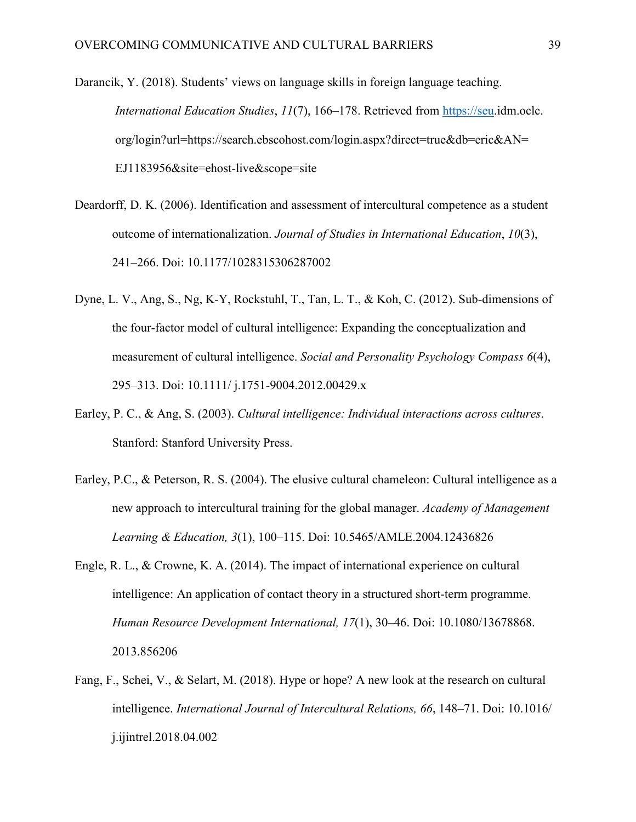Darancik, Y. (2018). Students' views on language skills in foreign language teaching. *International Education Studies*, *11*(7), 166–178. Retrieved from [https://seu.](https://seu/)idm.oclc. org/login?url=https://search.ebscohost.com/login.aspx?direct=true&db=eric&AN= EJ1183956&site=ehost-live&scope=site

- Deardorff, D. K. (2006). Identification and assessment of intercultural competence as a student outcome of internationalization. *Journal of Studies in International Education*, *10*(3), 241–266. Doi: 10.1177/1028315306287002
- Dyne, L. V., Ang, S., Ng, K-Y, Rockstuhl, T., Tan, L. T., & Koh, C. (2012). Sub-dimensions of the four-factor model of cultural intelligence: Expanding the conceptualization and measurement of cultural intelligence. *Social and Personality Psychology Compass 6*(4), 295–313. Doi: 10.1111/ j.1751-9004.2012.00429.x
- Earley, P. C., & Ang, S. (2003). *Cultural intelligence: Individual interactions across cultures*. Stanford: Stanford University Press.
- Earley, P.C., & Peterson, R. S. (2004). The elusive cultural chameleon: Cultural intelligence as a new approach to intercultural training for the global manager. *Academy of Management Learning & Education, 3*(1), 100–115. Doi: 10.5465/AMLE.2004.12436826
- Engle, R. L., & Crowne, K. A. (2014). The impact of international experience on cultural intelligence: An application of contact theory in a structured short-term programme. *Human Resource Development International, 17*(1), 30–46. Doi: 10.1080/13678868. 2013.856206
- Fang, F., Schei, V., & Selart, M. (2018). Hype or hope? A new look at the research on cultural intelligence. *International Journal of Intercultural Relations, 66*, 148–71. Doi: 10.1016/ j.ijintrel.2018.04.002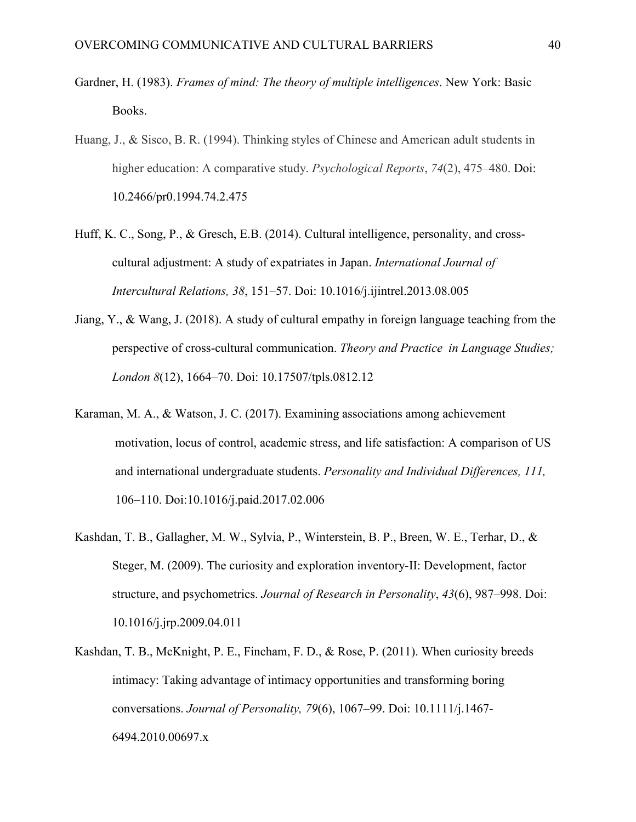- Gardner, H. (1983). *Frames of mind: The theory of multiple intelligences*. New York: Basic Books.
- Huang, J., & Sisco, B. R. (1994). Thinking styles of Chinese and American adult students in higher education: A comparative study. *Psychological Reports*, *74*(2), 475–480. Doi: 10.2466/pr0.1994.74.2.475
- Huff, K. C., Song, P., & Gresch, E.B. (2014). Cultural intelligence, personality, and crosscultural adjustment: A study of expatriates in Japan. *International Journal of Intercultural Relations, 38*, 151–57. Doi: 10.1016/j.ijintrel.2013.08.005
- Jiang, Y., & Wang, J. (2018). A study of cultural empathy in foreign language teaching from the perspective of cross-cultural communication. *Theory and Practice in Language Studies; London 8*(12), 1664–70. Doi: 10.17507/tpls.0812.12
- Karaman, M. A., & Watson, J. C. (2017). Examining associations among achievement motivation, locus of control, academic stress, and life satisfaction: A comparison of US and international undergraduate students. *Personality and Individual Differences, 111,* 106–110. Doi:10.1016/j.paid.2017.02.006
- Kashdan, T. B., Gallagher, M. W., Sylvia, P., Winterstein, B. P., Breen, W. E., Terhar, D., & Steger, M. (2009). The curiosity and exploration inventory-II: Development, factor structure, and psychometrics. *Journal of Research in Personality*, *43*(6), 987–998. Doi: 10.1016/j.jrp.2009.04.011
- Kashdan, T. B., McKnight, P. E., Fincham, F. D., & Rose, P. (2011). When curiosity breeds intimacy: Taking advantage of intimacy opportunities and transforming boring conversations. *Journal of Personality, 79*(6), 1067–99. Doi: 10.1111/j.1467- 6494.2010.00697.x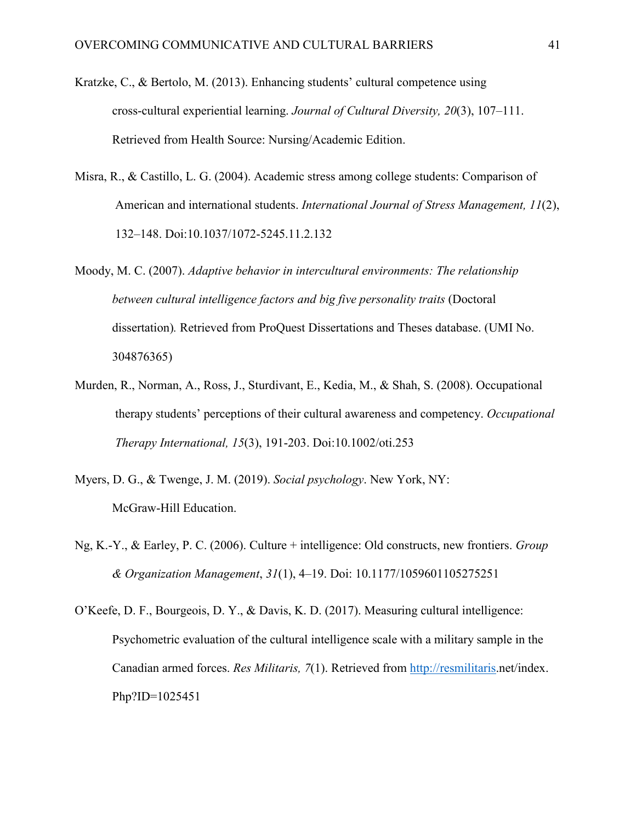- Kratzke, C., & Bertolo, M. (2013). Enhancing students' cultural competence using cross-cultural experiential learning. *Journal of Cultural Diversity, 20*(3), 107–111. Retrieved from Health Source: Nursing/Academic Edition.
- Misra, R., & Castillo, L. G. (2004). Academic stress among college students: Comparison of American and international students. *International Journal of Stress Management, 11*(2), 132–148. Doi:10.1037/1072-5245.11.2.132
- Moody, M. C. (2007). *Adaptive behavior in intercultural environments: The relationship between cultural intelligence factors and big five personality traits* (Doctoral dissertation)*.* Retrieved from ProQuest Dissertations and Theses database. (UMI No. 304876365)
- Murden, R., Norman, A., Ross, J., Sturdivant, E., Kedia, M., & Shah, S. (2008). Occupational therapy students' perceptions of their cultural awareness and competency. *Occupational Therapy International, 15*(3), 191-203. Doi:10.1002/oti.253
- Myers, D. G., & Twenge, J. M. (2019). *Social psychology*. New York, NY: McGraw-Hill Education.
- Ng, K.-Y., & Earley, P. C. (2006). Culture + intelligence: Old constructs, new frontiers. *Group & Organization Management*, *31*(1), 4–19. Doi: 10.1177/1059601105275251
- O'Keefe, D. F., Bourgeois, D. Y., & Davis, K. D. (2017). Measuring cultural intelligence: Psychometric evaluation of the cultural intelligence scale with a military sample in the Canadian armed forces. *Res Militaris, 7*(1). Retrieved from [http://resmilitaris.](http://resmilitaris/)net/index. Php?ID=1025451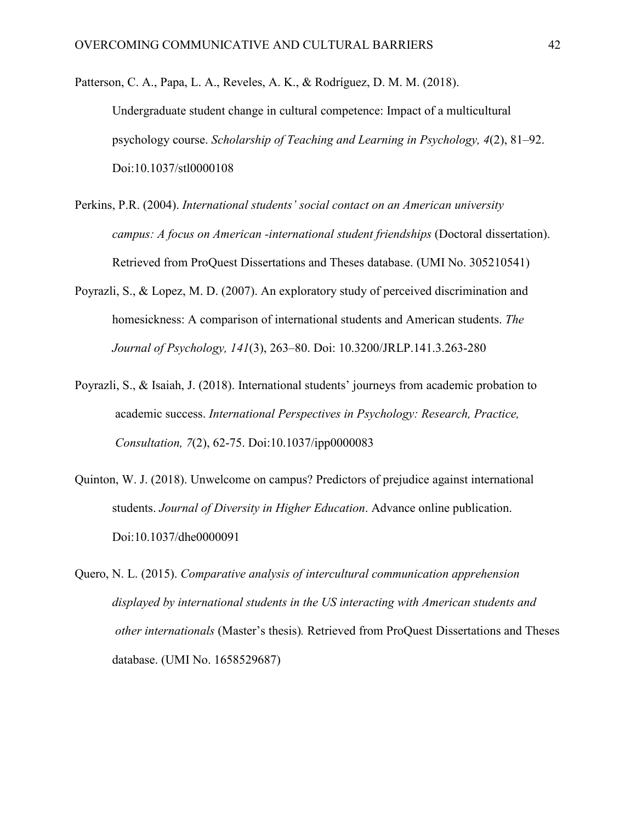Patterson, C. A., Papa, L. A., Reveles, A. K., & Rodríguez, D. M. M. (2018). Undergraduate student change in cultural competence: Impact of a multicultural psychology course. *Scholarship of Teaching and Learning in Psychology, 4*(2), 81–92. Doi:10.1037/stl0000108

- Perkins, P.R. (2004). *International students' social contact on an American university campus: A focus on American -international student friendships* (Doctoral dissertation). Retrieved from ProQuest Dissertations and Theses database. (UMI No. 305210541)
- Poyrazli, S., & Lopez, M. D. (2007). An exploratory study of perceived discrimination and homesickness: A comparison of international students and American students. *The Journal of Psychology, 141*(3), 263–80. Doi: 10.3200/JRLP.141.3.263-280
- Poyrazli, S., & Isaiah, J. (2018). International students' journeys from academic probation to academic success. *International Perspectives in Psychology: Research, Practice, Consultation, 7*(2), 62-75. Doi:10.1037/ipp0000083
- Quinton, W. J. (2018). Unwelcome on campus? Predictors of prejudice against international students. *Journal of Diversity in Higher Education*. Advance online publication. Doi:10.1037/dhe0000091
- Quero, N. L. (2015). *Comparative analysis of intercultural communication apprehension displayed by international students in the US interacting with American students and other internationals* (Master's thesis)*.* Retrieved from ProQuest Dissertations and Theses database. (UMI No. 1658529687)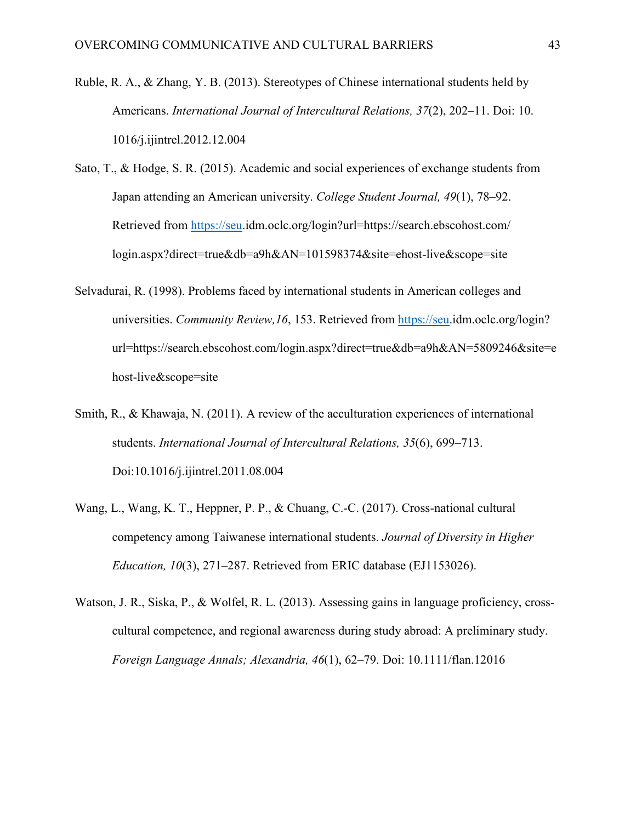- Ruble, R. A., & Zhang, Y. B. (2013). Stereotypes of Chinese international students held by Americans. *International Journal of Intercultural Relations, 37*(2), 202–11. Doi: 10. 1016/j.ijintrel.2012.12.004
- Sato, T., & Hodge, S. R. (2015). Academic and social experiences of exchange students from Japan attending an American university. *College Student Journal, 49*(1), 78–92. Retrieved from [https://seu.](https://seu/)idm.oclc.org/login?url=https://search.ebscohost.com/ login.aspx?direct=true&db=a9h&AN=101598374&site=ehost-live&scope=site
- Selvadurai, R. (1998). Problems faced by international students in American colleges and universities. *Community Review,16*, 153. Retrieved from [https://seu.](https://seu/)idm.oclc.org/login? url=https://search.ebscohost.com/login.aspx?direct=true&db=a9h&AN=5809246&site=e host-live&scope=site
- Smith, R., & Khawaja, N. (2011). A review of the acculturation experiences of international students. *International Journal of Intercultural Relations, 35*(6), 699–713. Doi:10.1016/j.ijintrel.2011.08.004
- Wang, L., Wang, K. T., Heppner, P. P., & Chuang, C.-C. (2017). Cross-national cultural competency among Taiwanese international students. *Journal of Diversity in Higher Education, 10*(3), 271–287. Retrieved from ERIC database (EJ1153026).
- Watson, J. R., Siska, P., & Wolfel, R. L. (2013). Assessing gains in language proficiency, crosscultural competence, and regional awareness during study abroad: A preliminary study. *Foreign Language Annals; Alexandria, 46*(1), 62–79. Doi: 10.1111/flan.12016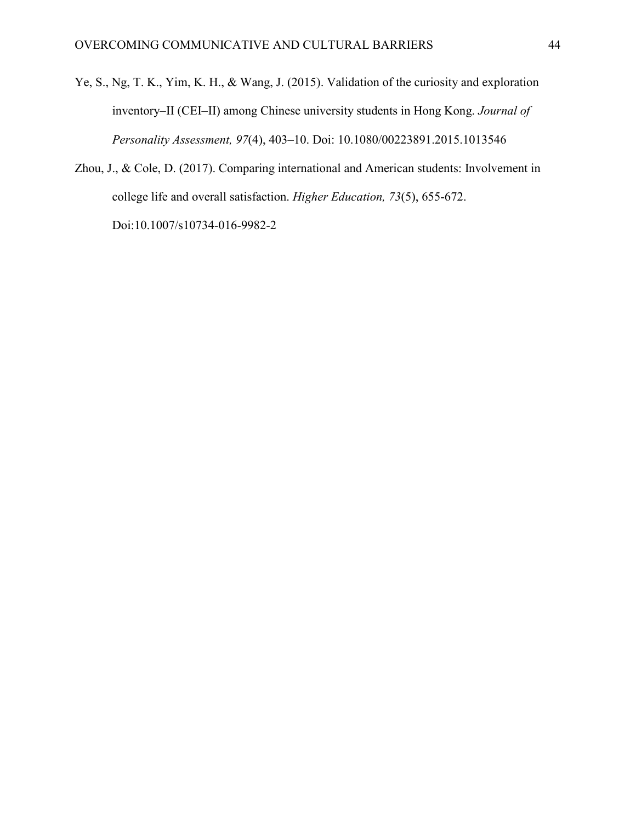- Ye, S., Ng, T. K., Yim, K. H., & Wang, J. (2015). Validation of the curiosity and exploration inventory–II (CEI–II) among Chinese university students in Hong Kong. *Journal of Personality Assessment, 97*(4), 403–10. Doi: 10.1080/00223891.2015.1013546
- Zhou, J., & Cole, D. (2017). Comparing international and American students: Involvement in college life and overall satisfaction. *Higher Education, 73*(5), 655-672. Doi:10.1007/s10734-016-9982-2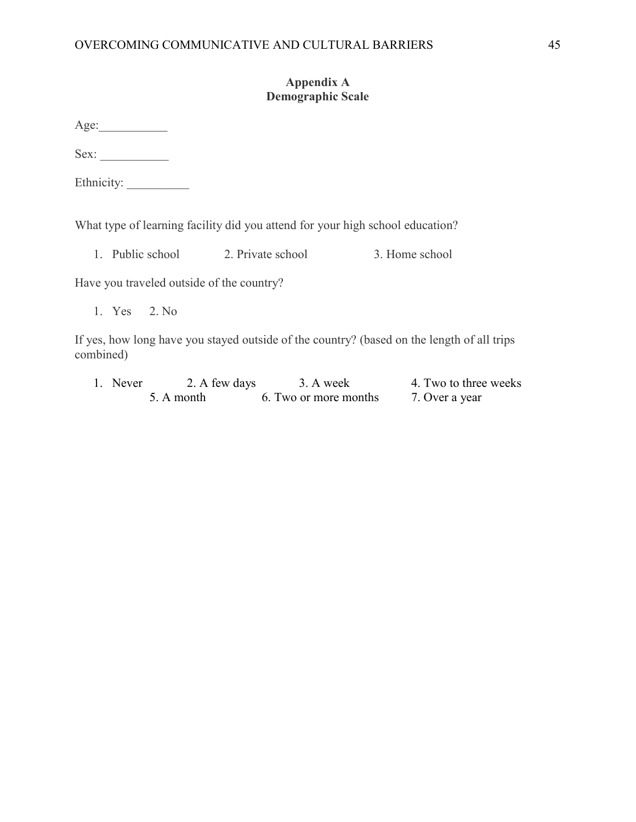# **Appendix A Demographic Scale**

Age:\_\_\_\_\_\_\_\_\_\_\_

Sex:

Ethnicity:

What type of learning facility did you attend for your high school education?

1. Public school 2. Private school 3. Home school

Have you traveled outside of the country?

1. Yes 2. No

If yes, how long have you stayed outside of the country? (based on the length of all trips combined)

1. Never 2. A few days 3. A week 4. Two to three weeks 5. A month 6. Two or more months 7. Over a year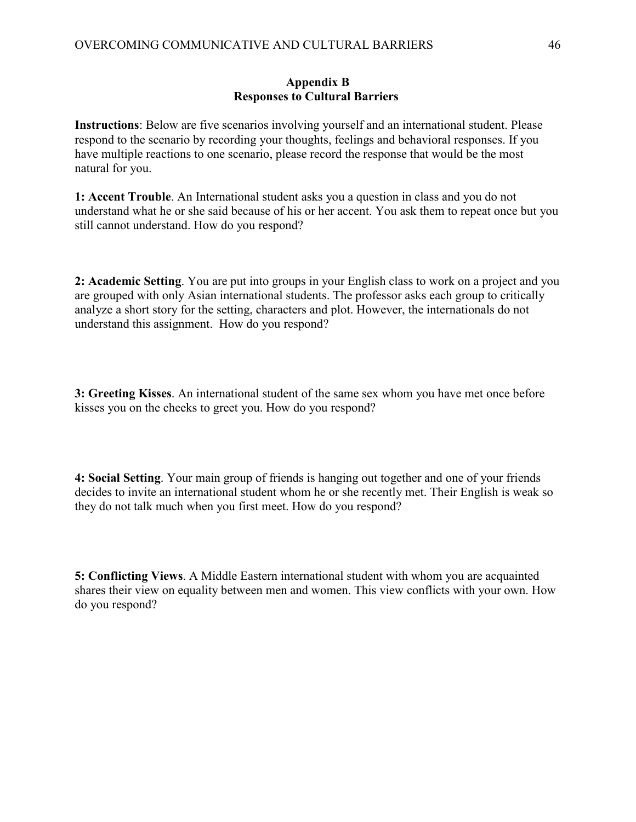#### **Appendix B Responses to Cultural Barriers**

**Instructions**: Below are five scenarios involving yourself and an international student. Please respond to the scenario by recording your thoughts, feelings and behavioral responses. If you have multiple reactions to one scenario, please record the response that would be the most natural for you.

**1: Accent Trouble**. An International student asks you a question in class and you do not understand what he or she said because of his or her accent. You ask them to repeat once but you still cannot understand. How do you respond?

**2: Academic Setting**. You are put into groups in your English class to work on a project and you are grouped with only Asian international students. The professor asks each group to critically analyze a short story for the setting, characters and plot. However, the internationals do not understand this assignment. How do you respond?

**3: Greeting Kisses**. An international student of the same sex whom you have met once before kisses you on the cheeks to greet you. How do you respond?

**4: Social Setting**. Your main group of friends is hanging out together and one of your friends decides to invite an international student whom he or she recently met. Their English is weak so they do not talk much when you first meet. How do you respond?

**5: Conflicting Views**. A Middle Eastern international student with whom you are acquainted shares their view on equality between men and women. This view conflicts with your own. How do you respond?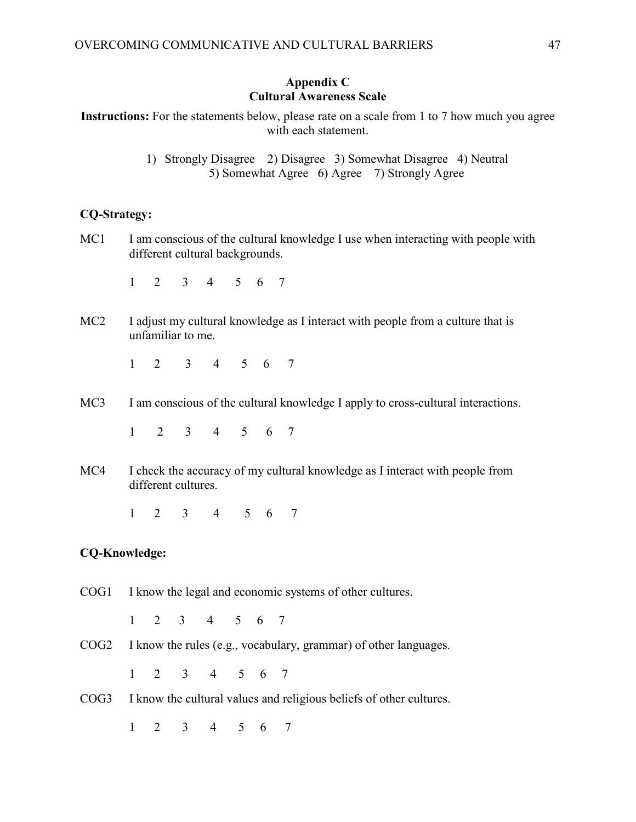# **Appendix C Cultural Awareness Scale**

**Instructions:** For the statements below, please rate on a scale from 1 to 7 how much you agree with each statement.

> 1) Strongly Disagree 2) Disagree 3) Somewhat Disagree 4) Neutral 5) Somewhat Agree 6) Agree 7) Strongly Agree

#### **CQ-Strategy:**

MC1 I am conscious of the cultural knowledge I use when interacting with people with different cultural backgrounds.

1 2 3 4 5 6 7

MC2 I adjust my cultural knowledge as I interact with people from a culture that is unfamiliar to me.

1 2 3 4 5 6 7

MC3 I am conscious of the cultural knowledge I apply to cross-cultural interactions.

1 2 3 4 5 6 7

MC4 I check the accuracy of my cultural knowledge as I interact with people from different cultures.

1 2 3 4 5 6 7

#### **CQ-Knowledge:**

COG1 I know the legal and economic systems of other cultures.

1 2 3 4 5 6 7

COG2 I know the rules (e.g., vocabulary, grammar) of other languages.

1 2 3 4 5 6 7

COG3 I know the cultural values and religious beliefs of other cultures.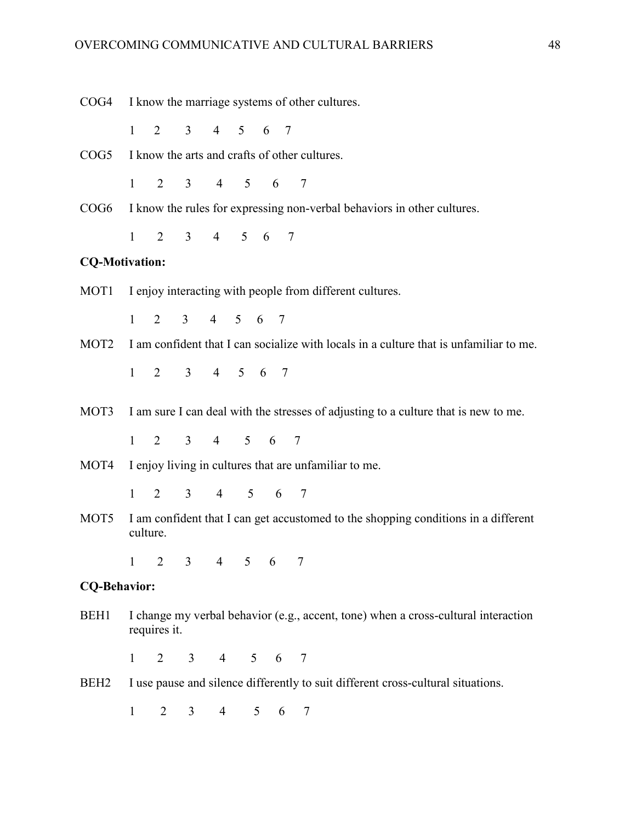| COG4                  | I know the marriage systems of other cultures.                                                     |                |                |                             |             |                 |   |                                                                                             |  |  |  |  |
|-----------------------|----------------------------------------------------------------------------------------------------|----------------|----------------|-----------------------------|-------------|-----------------|---|---------------------------------------------------------------------------------------------|--|--|--|--|
|                       | $\mathbf{1}$                                                                                       |                |                | 2 3 4 5 6 7                 |             |                 |   |                                                                                             |  |  |  |  |
|                       | COG5 I know the arts and crafts of other cultures.                                                 |                |                |                             |             |                 |   |                                                                                             |  |  |  |  |
|                       | $1 \quad \blacksquare$                                                                             |                |                | 2 3 4 5 6 7                 |             |                 |   |                                                                                             |  |  |  |  |
|                       | COG6 I know the rules for expressing non-verbal behaviors in other cultures.                       |                |                |                             |             |                 |   |                                                                                             |  |  |  |  |
|                       | $1 \quad \blacksquare$                                                                             |                |                | 2 3 4 5 6 7                 |             |                 |   |                                                                                             |  |  |  |  |
| <b>CQ-Motivation:</b> |                                                                                                    |                |                |                             |             |                 |   |                                                                                             |  |  |  |  |
| MOT1                  | I enjoy interacting with people from different cultures.                                           |                |                |                             |             |                 |   |                                                                                             |  |  |  |  |
|                       | $1 \quad$                                                                                          |                |                | 2 3 4 5 6 7                 |             |                 |   |                                                                                             |  |  |  |  |
|                       |                                                                                                    |                |                |                             |             |                 |   | MOT2 I am confident that I can socialize with locals in a culture that is unfamiliar to me. |  |  |  |  |
|                       | $1 \quad$                                                                                          |                |                | 2 3 4 5 6 7                 |             |                 |   |                                                                                             |  |  |  |  |
|                       |                                                                                                    |                |                |                             |             |                 |   | MOT3 I am sure I can deal with the stresses of adjusting to a culture that is new to me.    |  |  |  |  |
|                       | $\mathbf{1}$                                                                                       |                |                | 2 3 4 5 6 7                 |             |                 |   |                                                                                             |  |  |  |  |
| MOT4                  | I enjoy living in cultures that are unfamiliar to me.                                              |                |                |                             |             |                 |   |                                                                                             |  |  |  |  |
|                       | $1 \quad$                                                                                          |                |                | 2 3 4 5 6 7                 |             |                 |   |                                                                                             |  |  |  |  |
| MOT5                  | I am confident that I can get accustomed to the shopping conditions in a different<br>culture.     |                |                |                             |             |                 |   |                                                                                             |  |  |  |  |
|                       | $\mathbf{1}$                                                                                       |                |                | $2 \quad 3 \quad 4 \quad 5$ |             | $6\overline{6}$ |   |                                                                                             |  |  |  |  |
| <b>CQ-Behavior:</b>   |                                                                                                    |                |                |                             |             |                 |   |                                                                                             |  |  |  |  |
| BEH1                  | I change my verbal behavior (e.g., accent, tone) when a cross-cultural interaction<br>requires it. |                |                |                             |             |                 |   |                                                                                             |  |  |  |  |
|                       | 1                                                                                                  | $\overline{2}$ |                | 3 4 5 6 7                   |             |                 |   |                                                                                             |  |  |  |  |
| BEH <sub>2</sub>      |                                                                                                    |                |                |                             |             |                 |   | I use pause and silence differently to suit different cross-cultural situations.            |  |  |  |  |
|                       | $\mathbf{1}$                                                                                       | $\overline{2}$ | 3 <sup>7</sup> |                             | $4 \quad 5$ |                 | 6 | 7                                                                                           |  |  |  |  |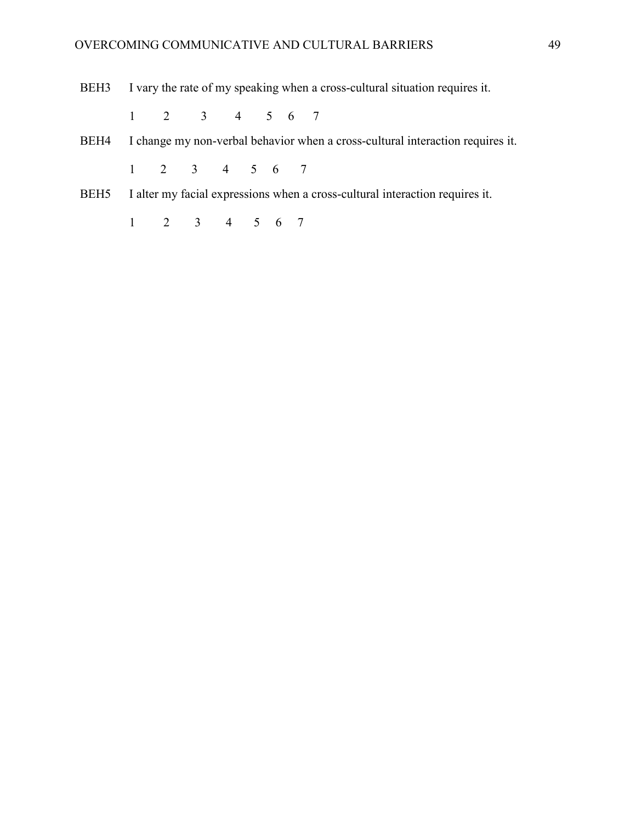BEH3 I vary the rate of my speaking when a cross-cultural situation requires it.

- 1 2 3 4 5 6 7
- BEH4 I change my non-verbal behavior when a cross-cultural interaction requires it.

- BEH5 I alter my facial expressions when a cross-cultural interaction requires it.
	- 1 2 3 4 5 6 7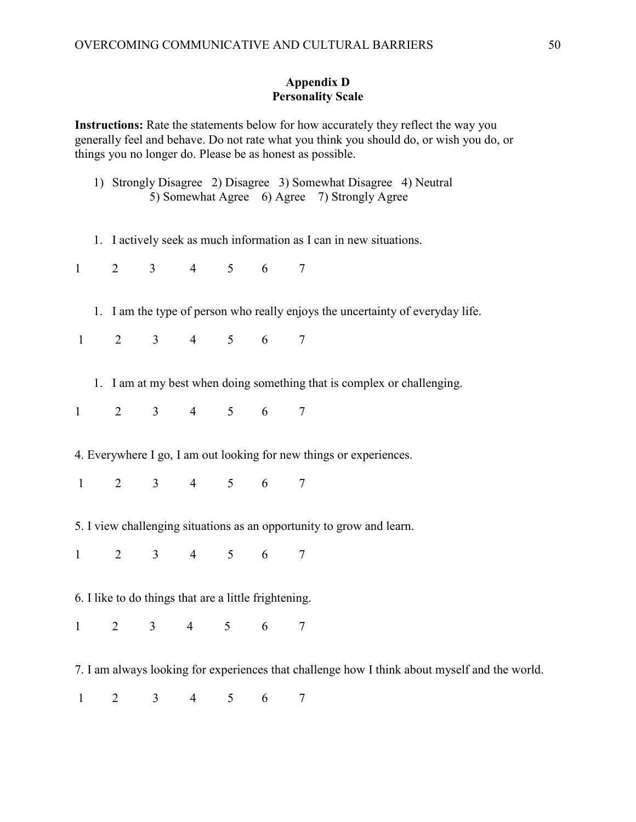## **Appendix D Personality Scale**

**Instructions:** Rate the statements below for how accurately they reflect the way you generally feel and behave. Do not rate what you think you should do, or wish you do, or things you no longer do. Please be as honest as possible.

- 1) Strongly Disagree 2) Disagree 3) Somewhat Disagree 4) Neutral 5) Somewhat Agree 6) Agree 7) Strongly Agree
- 1. I actively seek as much information as I can in new situations.

1 2 3 4 5 6 7

1. I am the type of person who really enjoys the uncertainty of everyday life.

- 1. I am at my best when doing something that is complex or challenging.
- 1 2 3 4 5 6 7
- 4. Everywhere I go, I am out looking for new things or experiences.
- 1 2 3 4 5 6 7
- 5. I view challenging situations as an opportunity to grow and learn.
- 1 2 3 4 5 6 7
- 6. I like to do things that are a little frightening.
- 1 2 3 4 5 6 7
- 7. I am always looking for experiences that challenge how I think about myself and the world.
- 1 2 3 4 5 6 7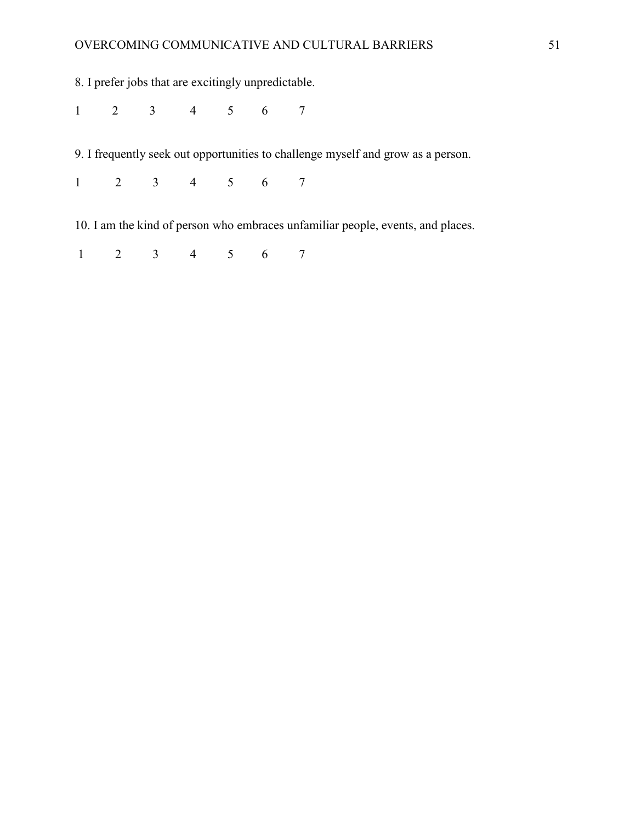# OVERCOMING COMMUNICATIVE AND CULTURAL BARRIERS 51

8. I prefer jobs that are excitingly unpredictable.

1 2 3 4 5 6 7

9. I frequently seek out opportunities to challenge myself and grow as a person.

1 2 3 4 5 6 7

10. I am the kind of person who embraces unfamiliar people, events, and places.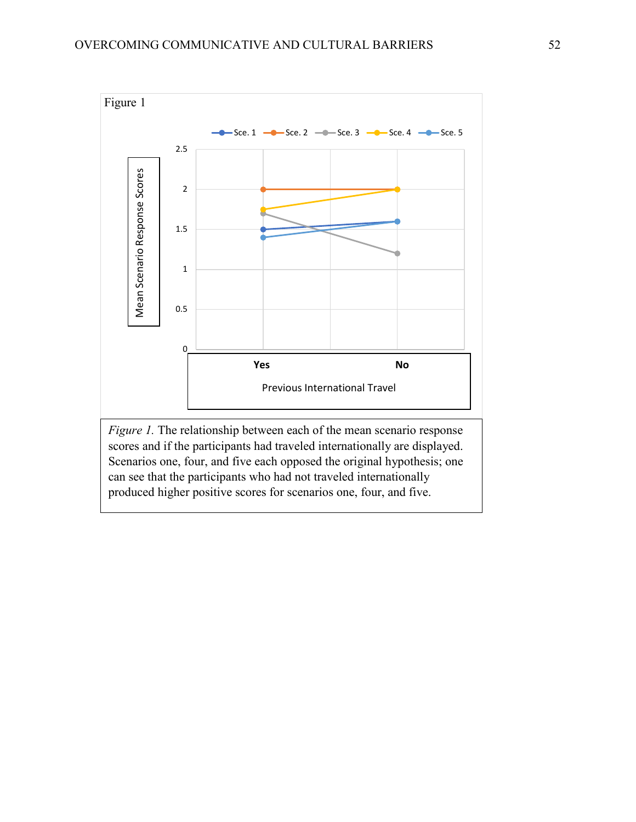

scores and if the participants had traveled internationally are displayed. Scenarios one, four, and five each opposed the original hypothesis; one can see that the participants who had not traveled internationally produced higher positive scores for scenarios one, four, and five.